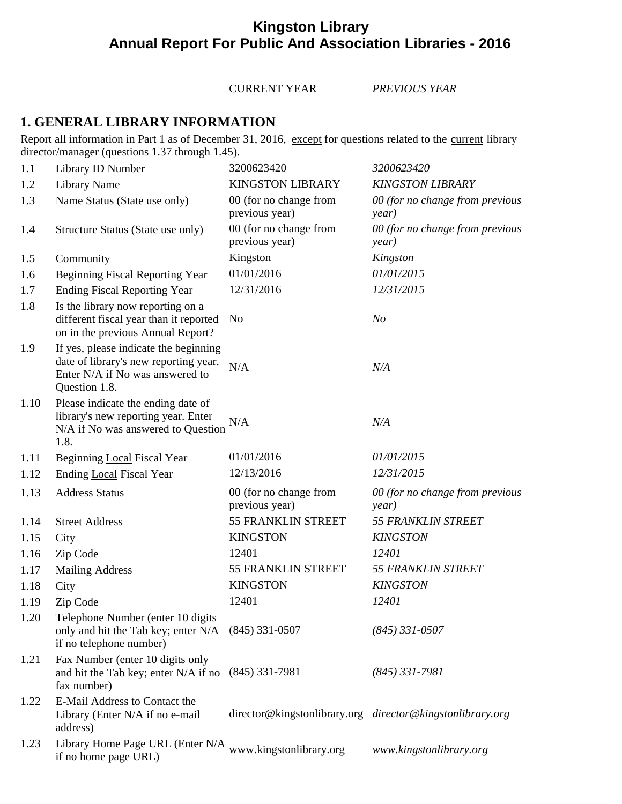# **Kingston Library Annual Report For Public And Association Libraries - 2016**

CURRENT YEAR *PREVIOUS YEAR*

## **1. GENERAL LIBRARY INFORMATION**

Report all information in Part 1 as of December 31, 2016, except for questions related to the current library director/manager (questions 1.37 through 1.45).

| 1.1  | Library ID Number                                                                                                                  | 3200623420                               | 3200623420                                                |
|------|------------------------------------------------------------------------------------------------------------------------------------|------------------------------------------|-----------------------------------------------------------|
| 1.2  | <b>Library Name</b>                                                                                                                | <b>KINGSTON LIBRARY</b>                  | <b>KINGSTON LIBRARY</b>                                   |
| 1.3  | Name Status (State use only)                                                                                                       | 00 (for no change from<br>previous year) | 00 (for no change from previous<br>year)                  |
| 1.4  | Structure Status (State use only)                                                                                                  | 00 (for no change from<br>previous year) | 00 (for no change from previous<br>year)                  |
| 1.5  | Community                                                                                                                          | Kingston                                 | Kingston                                                  |
| 1.6  | <b>Beginning Fiscal Reporting Year</b>                                                                                             | 01/01/2016                               | 01/01/2015                                                |
| 1.7  | <b>Ending Fiscal Reporting Year</b>                                                                                                | 12/31/2016                               | 12/31/2015                                                |
| 1.8  | Is the library now reporting on a<br>different fiscal year than it reported<br>on in the previous Annual Report?                   | N <sub>0</sub>                           | N <sub>o</sub>                                            |
| 1.9  | If yes, please indicate the beginning<br>date of library's new reporting year.<br>Enter N/A if No was answered to<br>Question 1.8. | N/A                                      | N/A                                                       |
| 1.10 | Please indicate the ending date of<br>library's new reporting year. Enter<br>N/A if No was answered to Question<br>1.8.            | N/A                                      | N/A                                                       |
| 1.11 | Beginning Local Fiscal Year                                                                                                        | 01/01/2016                               | 01/01/2015                                                |
| 1.12 | Ending Local Fiscal Year                                                                                                           | 12/13/2016                               | 12/31/2015                                                |
| 1.13 | <b>Address Status</b>                                                                                                              | 00 (for no change from<br>previous year) | 00 (for no change from previous<br>year)                  |
| 1.14 | <b>Street Address</b>                                                                                                              | 55 FRANKLIN STREET                       | <b>55 FRANKLIN STREET</b>                                 |
| 1.15 | City                                                                                                                               | <b>KINGSTON</b>                          | <b>KINGSTON</b>                                           |
| 1.16 | Zip Code                                                                                                                           | 12401                                    | 12401                                                     |
| 1.17 | <b>Mailing Address</b>                                                                                                             | 55 FRANKLIN STREET                       | 55 FRANKLIN STREET                                        |
| 1.18 | City                                                                                                                               | <b>KINGSTON</b>                          | <b>KINGSTON</b>                                           |
| 1.19 | Zip Code                                                                                                                           | 12401                                    | 12401                                                     |
| 1.20 | Telephone Number (enter 10 digits<br>only and hit the Tab key; enter N/A<br>if no telephone number)                                | $(845)$ 331-0507                         | $(845)$ 331-0507                                          |
| 1.21 | Fax Number (enter 10 digits only<br>and hit the Tab key; enter N/A if no<br>fax number)                                            | $(845)$ 331-7981                         | $(845)$ 331-7981                                          |
| 1.22 | E-Mail Address to Contact the<br>Library (Enter N/A if no e-mail<br>address)                                                       |                                          | director@kingstonlibrary.org director@kingstonlibrary.org |
| 1.23 | Library Home Page URL (Enter N/A<br>if no home page URL)                                                                           | www.kingstonlibrary.org                  | www.kingstonlibrary.org                                   |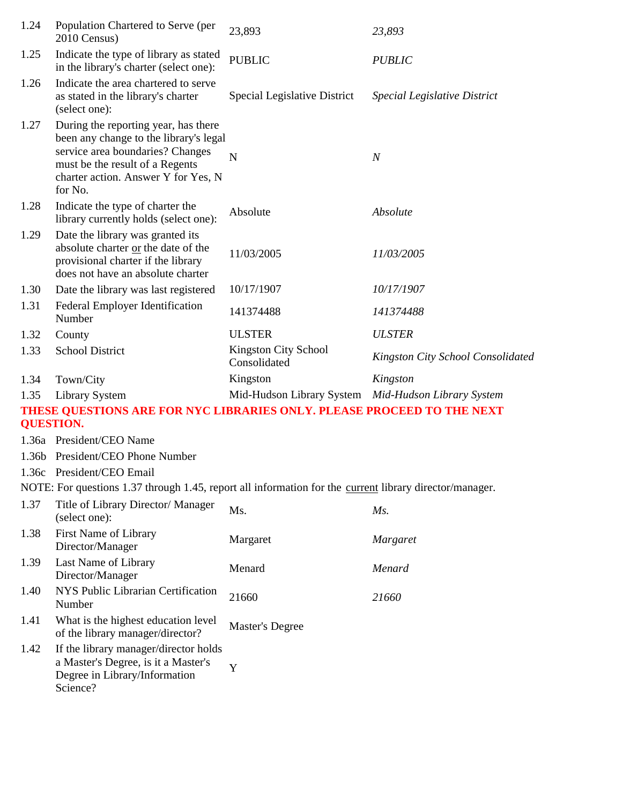| 1.24 | Population Chartered to Serve (per<br>2010 Census)                                                                                                                                                      | 23,893                                              | 23,893                              |
|------|---------------------------------------------------------------------------------------------------------------------------------------------------------------------------------------------------------|-----------------------------------------------------|-------------------------------------|
| 1.25 | Indicate the type of library as stated<br>in the library's charter (select one):                                                                                                                        | <b>PUBLIC</b>                                       | <b>PUBLIC</b>                       |
| 1.26 | Indicate the area chartered to serve<br>as stated in the library's charter<br>(select one):                                                                                                             | Special Legislative District                        | <b>Special Legislative District</b> |
| 1.27 | During the reporting year, has there<br>been any change to the library's legal<br>service area boundaries? Changes<br>must be the result of a Regents<br>charter action. Answer Y for Yes, N<br>for No. | N                                                   | $\boldsymbol{N}$                    |
| 1.28 | Indicate the type of charter the<br>library currently holds (select one):                                                                                                                               | Absolute                                            | Absolute                            |
| 1.29 | Date the library was granted its<br>absolute charter or the date of the<br>provisional charter if the library<br>does not have an absolute charter                                                      | 11/03/2005                                          | 11/03/2005                          |
| 1.30 | Date the library was last registered                                                                                                                                                                    | 10/17/1907                                          | 10/17/1907                          |
| 1.31 | Federal Employer Identification<br>Number                                                                                                                                                               | 141374488                                           | 141374488                           |
| 1.32 | County                                                                                                                                                                                                  | <b>ULSTER</b>                                       | <b>ULSTER</b>                       |
| 1.33 | <b>School District</b>                                                                                                                                                                                  | <b>Kingston City School</b><br>Consolidated         | Kingston City School Consolidated   |
| 1.34 | Town/City                                                                                                                                                                                               | Kingston                                            | Kingston                            |
| 1.35 | <b>Library System</b>                                                                                                                                                                                   | Mid-Hudson Library System Mid-Hudson Library System |                                     |
|      | THESE QUESTIONS ARE FOR NYC LIBRARIES ONLY. PLEASE PROCEED TO THE NEXT<br><b>QUESTION.</b>                                                                                                              |                                                     |                                     |
|      | 1.36a President/CEO Name                                                                                                                                                                                |                                                     |                                     |
|      | 1.36b President/CEO Phone Number                                                                                                                                                                        |                                                     |                                     |
|      | 1.36c President/CEO Email                                                                                                                                                                               |                                                     |                                     |
|      | NOTE: For questions 1.37 through 1.45, report all information for the current library director/manager.                                                                                                 |                                                     |                                     |
| 1.37 | Title of Library Director/ Manager<br>(select one):                                                                                                                                                     | Ms.                                                 | $Ms$ .                              |
| 1.38 | First Name of Library<br>Director/Manager                                                                                                                                                               | Margaret                                            | <b>Margaret</b>                     |
| 1.39 | Last Name of Library<br>Director/Manager                                                                                                                                                                | Menard                                              | Menard                              |
| 1.40 | NYS Public Librarian Certification<br>Number                                                                                                                                                            | 21660                                               | 21660                               |
| 1.41 | What is the highest education level<br>of the library manager/director?                                                                                                                                 | Master's Degree                                     |                                     |
| 1.42 | If the library manager/director holds<br>a Master's Degree, is it a Master's<br>Degree in Library/Information<br>Science?                                                                               | Y                                                   |                                     |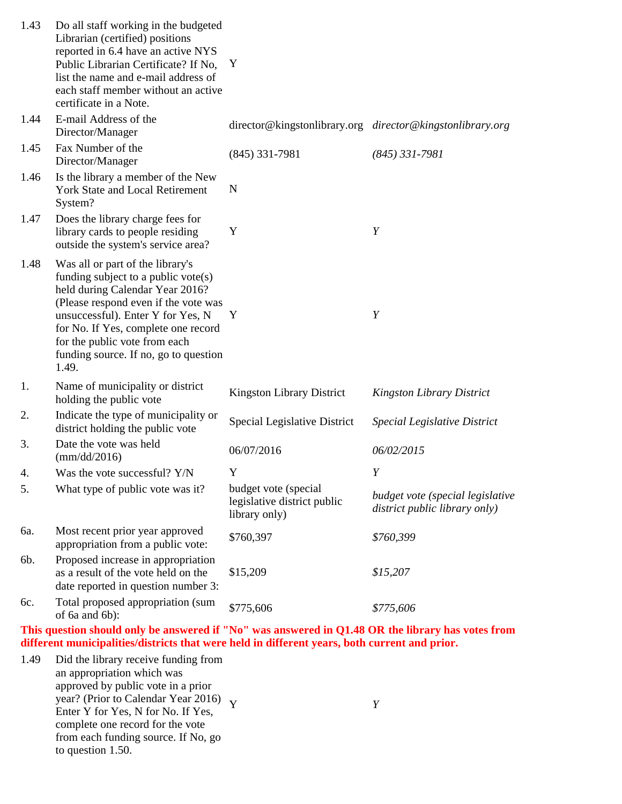| 1.43 | Do all staff working in the budgeted<br>Librarian (certified) positions<br>reported in 6.4 have an active NYS<br>Public Librarian Certificate? If No,<br>list the name and e-mail address of<br>each staff member without an active<br>certificate in a Note.                                                        | Y                                                                    |                                                                   |
|------|----------------------------------------------------------------------------------------------------------------------------------------------------------------------------------------------------------------------------------------------------------------------------------------------------------------------|----------------------------------------------------------------------|-------------------------------------------------------------------|
| 1.44 | E-mail Address of the<br>Director/Manager                                                                                                                                                                                                                                                                            |                                                                      | director@kingstonlibrary.org director@kingstonlibrary.org         |
| 1.45 | Fax Number of the<br>Director/Manager                                                                                                                                                                                                                                                                                | $(845)$ 331-7981                                                     | $(845)$ 331-7981                                                  |
| 1.46 | Is the library a member of the New<br><b>York State and Local Retirement</b><br>System?                                                                                                                                                                                                                              | N                                                                    |                                                                   |
| 1.47 | Does the library charge fees for<br>library cards to people residing<br>outside the system's service area?                                                                                                                                                                                                           | Y                                                                    | Y                                                                 |
| 1.48 | Was all or part of the library's<br>funding subject to a public vote $(s)$<br>held during Calendar Year 2016?<br>(Please respond even if the vote was<br>unsuccessful). Enter Y for Yes, N<br>for No. If Yes, complete one record<br>for the public vote from each<br>funding source. If no, go to question<br>1.49. | Y                                                                    | Y                                                                 |
| 1.   | Name of municipality or district<br>holding the public vote                                                                                                                                                                                                                                                          | <b>Kingston Library District</b>                                     | <b>Kingston Library District</b>                                  |
| 2.   | Indicate the type of municipality or<br>district holding the public vote                                                                                                                                                                                                                                             | <b>Special Legislative District</b>                                  | Special Legislative District                                      |
| 3.   | Date the vote was held<br>$\frac{\text{mm}}{\text{dd}}/2016$                                                                                                                                                                                                                                                         | 06/07/2016                                                           | 06/02/2015                                                        |
| 4.   | Was the vote successful? Y/N                                                                                                                                                                                                                                                                                         | Y                                                                    | Y                                                                 |
| 5.   | What type of public vote was it?                                                                                                                                                                                                                                                                                     | budget vote (special<br>legislative district public<br>library only) | budget vote (special legislative<br>district public library only) |
| 6a.  | Most recent prior year approved<br>appropriation from a public vote:                                                                                                                                                                                                                                                 | \$760,397                                                            | \$760,399                                                         |
| 6b.  | Proposed increase in appropriation<br>as a result of the vote held on the<br>date reported in question number 3:                                                                                                                                                                                                     | \$15,209                                                             | \$15,207                                                          |
| 6с.  | Total proposed appropriation (sum<br>of 6a and 6b):                                                                                                                                                                                                                                                                  | \$775,606                                                            | \$775,606                                                         |

**This question should only be answered if "No" was answered in Q1.48 OR the library has votes from different municipalities/districts that were held in different years, both current and prior.**

1.49 Did the library receive funding from an appropriation which was approved by public vote in a prior year? (Prior to Calendar Year 2016) *Y Y*<br>Enter Y fan Year Man Ja Jf Year Enter Y for Yes, N for No. If Yes, complete one record for the vote from each funding source. If No, go to question 1.50.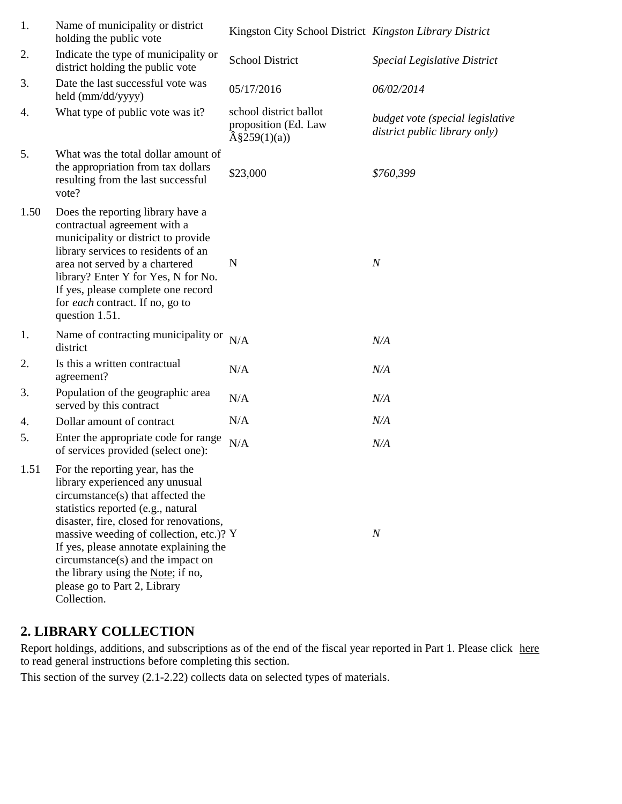| 1.   | Name of municipality or district<br>holding the public vote                                                                                                                                                                                                                                                                                                                                             | Kingston City School District Kingston Library District                   |                                                                   |
|------|---------------------------------------------------------------------------------------------------------------------------------------------------------------------------------------------------------------------------------------------------------------------------------------------------------------------------------------------------------------------------------------------------------|---------------------------------------------------------------------------|-------------------------------------------------------------------|
| 2.   | Indicate the type of municipality or<br>district holding the public vote                                                                                                                                                                                                                                                                                                                                | <b>School District</b>                                                    | Special Legislative District                                      |
| 3.   | Date the last successful vote was<br>held (mm/dd/yyyy)                                                                                                                                                                                                                                                                                                                                                  | 05/17/2016                                                                | 06/02/2014                                                        |
| 4.   | What type of public vote was it?                                                                                                                                                                                                                                                                                                                                                                        | school district ballot<br>proposition (Ed. Law<br>$\hat{A}\$ \$259(1)(a)) | budget vote (special legislative<br>district public library only) |
| 5.   | What was the total dollar amount of<br>the appropriation from tax dollars<br>resulting from the last successful<br>vote?                                                                                                                                                                                                                                                                                | \$23,000                                                                  | \$760,399                                                         |
| 1.50 | Does the reporting library have a<br>contractual agreement with a<br>municipality or district to provide<br>library services to residents of an<br>area not served by a chartered<br>library? Enter Y for Yes, N for No.<br>If yes, please complete one record<br>for each contract. If no, go to<br>question 1.51.                                                                                     | N                                                                         | $\boldsymbol{N}$                                                  |
| 1.   | Name of contracting municipality or<br>district                                                                                                                                                                                                                                                                                                                                                         | N/A                                                                       | N/A                                                               |
| 2.   | Is this a written contractual<br>agreement?                                                                                                                                                                                                                                                                                                                                                             | N/A                                                                       | N/A                                                               |
| 3.   | Population of the geographic area<br>served by this contract                                                                                                                                                                                                                                                                                                                                            | N/A                                                                       | N/A                                                               |
| 4.   | Dollar amount of contract                                                                                                                                                                                                                                                                                                                                                                               | N/A                                                                       | N/A                                                               |
| 5.   | Enter the appropriate code for range<br>of services provided (select one):                                                                                                                                                                                                                                                                                                                              | N/A                                                                       | N/A                                                               |
| 1.51 | For the reporting year, has the<br>library experienced any unusual<br>circumstance(s) that affected the<br>statistics reported (e.g., natural<br>disaster, fire, closed for renovations,<br>massive weeding of collection, etc.)? Y<br>If yes, please annotate explaining the<br>circumstance(s) and the impact on<br>the library using the Note; if no,<br>please go to Part 2, Library<br>Collection. |                                                                           | $\boldsymbol{N}$                                                  |

### **2. LIBRARY COLLECTION**

Report holdings, additions, and subscriptions as of the end of the fiscal year reported in Part 1. Please click here to read general instructions before completing this section.

This section of the survey (2.1-2.22) collects data on selected types of materials.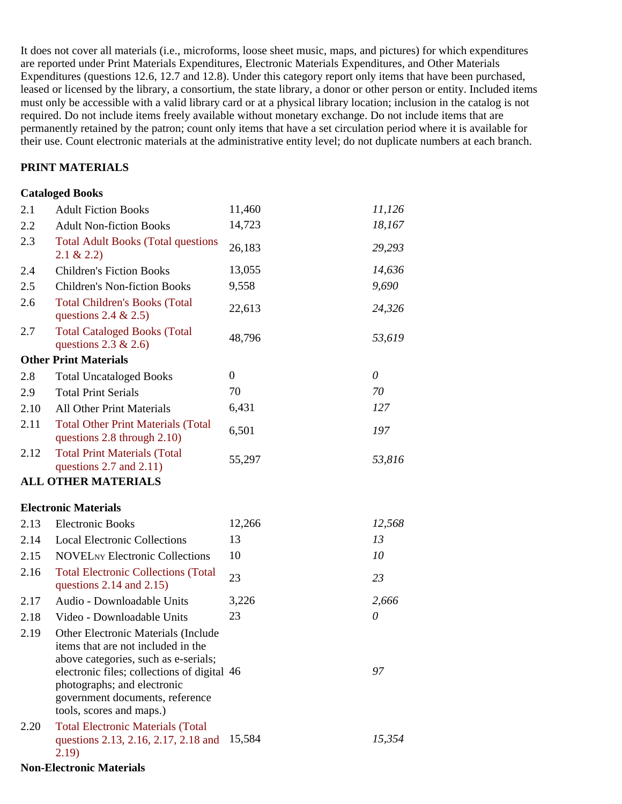It does not cover all materials (i.e., microforms, loose sheet music, maps, and pictures) for which expenditures are reported under Print Materials Expenditures, Electronic Materials Expenditures, and Other Materials Expenditures (questions 12.6, 12.7 and 12.8). Under this category report only items that have been purchased, leased or licensed by the library, a consortium, the state library, a donor or other person or entity. Included items must only be accessible with a valid library card or at a physical library location; inclusion in the catalog is not required. Do not include items freely available without monetary exchange. Do not include items that are permanently retained by the patron; count only items that have a set circulation period where it is available for their use. Count electronic materials at the administrative entity level; do not duplicate numbers at each branch.

### **PRINT MATERIALS**

#### **Cataloged Books**

| 2.1  | <b>Adult Fiction Books</b>                                                                                                                                                                                                                                            | 11,460           | 11,126   |
|------|-----------------------------------------------------------------------------------------------------------------------------------------------------------------------------------------------------------------------------------------------------------------------|------------------|----------|
| 2.2  | <b>Adult Non-fiction Books</b>                                                                                                                                                                                                                                        | 14,723           | 18,167   |
| 2.3  | <b>Total Adult Books (Total questions</b><br>$2.1 \& 2.2$                                                                                                                                                                                                             | 26,183           | 29,293   |
| 2.4  | <b>Children's Fiction Books</b>                                                                                                                                                                                                                                       | 13,055           | 14,636   |
| 2.5  | <b>Children's Non-fiction Books</b>                                                                                                                                                                                                                                   | 9,558            | 9,690    |
| 2.6  | <b>Total Children's Books (Total</b><br>questions 2.4 $& 2.5$ )                                                                                                                                                                                                       | 22,613           | 24,326   |
| 2.7  | <b>Total Cataloged Books (Total</b><br>questions $2.3 \& 2.6$ )                                                                                                                                                                                                       | 48,796           | 53,619   |
|      | <b>Other Print Materials</b>                                                                                                                                                                                                                                          |                  |          |
| 2.8  | <b>Total Uncataloged Books</b>                                                                                                                                                                                                                                        | $\boldsymbol{0}$ | $\theta$ |
| 2.9  | <b>Total Print Serials</b>                                                                                                                                                                                                                                            | 70               | 70       |
| 2.10 | <b>All Other Print Materials</b>                                                                                                                                                                                                                                      | 6,431            | 127      |
| 2.11 | <b>Total Other Print Materials (Total</b><br>questions 2.8 through 2.10)                                                                                                                                                                                              | 6,501            | 197      |
| 2.12 | <b>Total Print Materials (Total</b><br>questions $2.7$ and $2.11$ )                                                                                                                                                                                                   | 55,297           | 53,816   |
|      | <b>ALL OTHER MATERIALS</b>                                                                                                                                                                                                                                            |                  |          |
|      | <b>Electronic Materials</b>                                                                                                                                                                                                                                           |                  |          |
| 2.13 | <b>Electronic Books</b>                                                                                                                                                                                                                                               | 12,266           | 12,568   |
| 2.14 | <b>Local Electronic Collections</b>                                                                                                                                                                                                                                   | 13               | 13       |
| 2.15 | <b>NOVELNY Electronic Collections</b>                                                                                                                                                                                                                                 | $10\,$           | 10       |
| 2.16 | <b>Total Electronic Collections (Total</b><br>questions $2.14$ and $2.15$ )                                                                                                                                                                                           | 23               | 23       |
| 2.17 | Audio - Downloadable Units                                                                                                                                                                                                                                            | 3,226            | 2,666    |
| 2.18 | Video - Downloadable Units                                                                                                                                                                                                                                            | 23               | $\theta$ |
| 2.19 | <b>Other Electronic Materials (Include</b><br>items that are not included in the<br>above categories, such as e-serials;<br>electronic files; collections of digital 46<br>photographs; and electronic<br>government documents, reference<br>tools, scores and maps.) |                  | 97       |
| 2.20 | <b>Total Electronic Materials (Total</b><br>questions 2.13, 2.16, 2.17, 2.18 and<br>2.19)                                                                                                                                                                             | 15,584           | 15,354   |

#### **Non-Electronic Materials**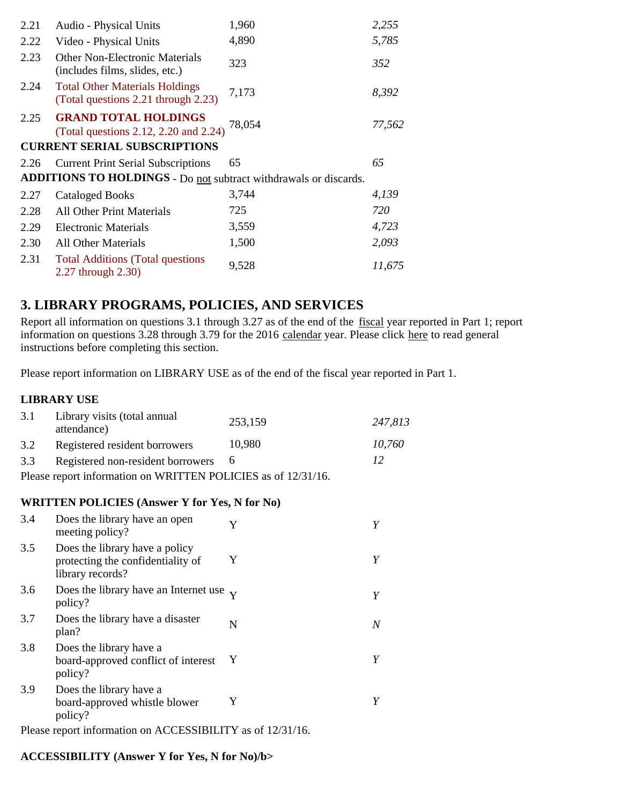| 2.21 | Audio - Physical Units                                                       | 1,960  | 2,255  |
|------|------------------------------------------------------------------------------|--------|--------|
| 2.22 | Video - Physical Units                                                       | 4,890  | 5,785  |
| 2.23 | <b>Other Non-Electronic Materials</b><br>(includes films, slides, etc.)      | 323    | 352    |
| 2.24 | <b>Total Other Materials Holdings</b><br>(Total questions 2.21 through 2.23) | 7,173  | 8,392  |
| 2.25 | <b>GRAND TOTAL HOLDINGS</b><br>(Total questions 2.12, 2.20 and 2.24)         | 78,054 | 77,562 |
|      | <b>CURRENT SERIAL SUBSCRIPTIONS</b>                                          |        |        |
| 2.26 | <b>Current Print Serial Subscriptions</b>                                    | 65     | 65     |
|      | ADDITIONS TO HOLDINGS - Do not subtract withdrawals or discards.             |        |        |
| 2.27 | <b>Cataloged Books</b>                                                       | 3,744  | 4,139  |
| 2.28 | <b>All Other Print Materials</b>                                             | 725    | 720    |
| 2.29 | <b>Electronic Materials</b>                                                  | 3,559  | 4,723  |
| 2.30 | All Other Materials                                                          | 1,500  | 2,093  |
| 2.31 | <b>Total Additions (Total questions)</b><br>2.27 through 2.30)               | 9,528  | 11,675 |

## **3. LIBRARY PROGRAMS, POLICIES, AND SERVICES**

Report all information on questions 3.1 through 3.27 as of the end of the fiscal year reported in Part 1; report information on questions 3.28 through 3.79 for the 2016 calendar year. Please click here to read general instructions before completing this section.

Please report information on LIBRARY USE as of the end of the fiscal year reported in Part 1.

### **LIBRARY USE**

| 3.1 | Library visits (total annual<br>attendance)                   | 253,159 | 247,813 |
|-----|---------------------------------------------------------------|---------|---------|
| 3.2 | Registered resident borrowers                                 | 10,980  | 10,760  |
| 3.3 | Registered non-resident borrowers 6                           |         | 12      |
|     | Please report information on WRITTEN POLICIES as of 12/31/16. |         |         |

### **WRITTEN POLICIES (Answer Y for Yes, N for No)**

| 3.4 | Does the library have an open<br>meeting policy?                                        | Y |   |
|-----|-----------------------------------------------------------------------------------------|---|---|
| 3.5 | Does the library have a policy<br>protecting the confidentiality of<br>library records? | Y | Y |
| 3.6 | Does the library have an Internet use $\bf{v}$<br>policy?                               |   | Y |
| 3.7 | Does the library have a disaster<br>plan?                                               | N | N |
| 3.8 | Does the library have a<br>board-approved conflict of interest<br>policy?               | Y | Y |
| 3.9 | Does the library have a<br>board-approved whistle blower<br>policy?                     | Y |   |

Please report information on ACCESSIBILITY as of 12/31/16.

### **ACCESSIBILITY (Answer Y for Yes, N for No)/b>**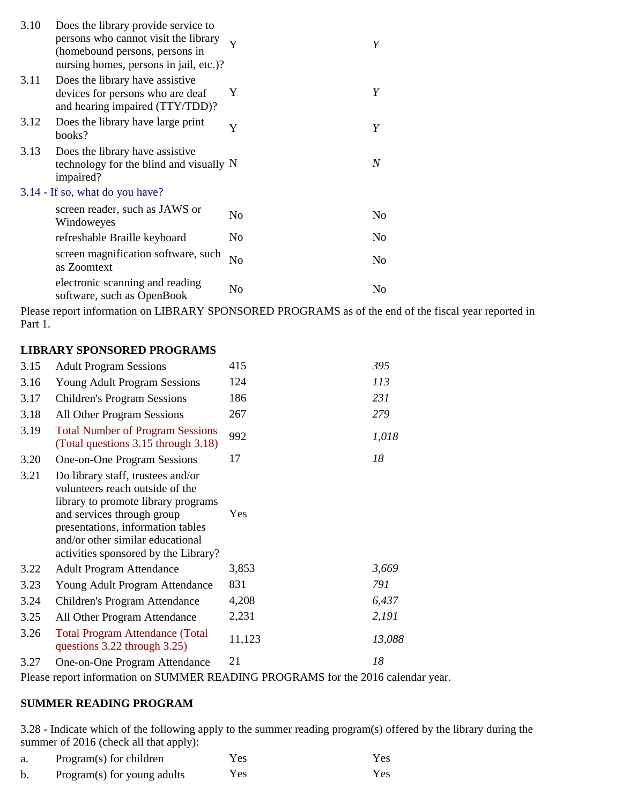| 3.10 | Does the library provide service to<br>persons who cannot visit the library<br>(homebound persons, persons in<br>nursing homes, persons in jail, etc.)? | Y              | Y                |
|------|---------------------------------------------------------------------------------------------------------------------------------------------------------|----------------|------------------|
| 3.11 | Does the library have assistive<br>devices for persons who are deaf<br>and hearing impaired (TTY/TDD)?                                                  | Y              | Y                |
| 3.12 | Does the library have large print<br>books?                                                                                                             | Y              | Y                |
| 3.13 | Does the library have assistive<br>technology for the blind and visually N<br>impaired?                                                                 |                | $\boldsymbol{N}$ |
|      | 3.14 - If so, what do you have?                                                                                                                         |                |                  |
|      | screen reader, such as JAWS or<br>Windoweyes                                                                                                            | N <sub>0</sub> | No               |
|      | refreshable Braille keyboard                                                                                                                            | No.            | N <sub>0</sub>   |
|      | screen magnification software, such<br>as Zoomtext                                                                                                      | N <sub>o</sub> | No               |
|      | electronic scanning and reading<br>software, such as OpenBook                                                                                           | N <sub>0</sub> | No               |

Please report information on LIBRARY SPONSORED PROGRAMS as of the end of the fiscal year reported in Part 1.

#### **LIBRARY SPONSORED PROGRAMS**

| 3.15 | <b>Adult Program Sessions</b>                                                                                                                                                                                                                              | 415    | 395    |
|------|------------------------------------------------------------------------------------------------------------------------------------------------------------------------------------------------------------------------------------------------------------|--------|--------|
| 3.16 | <b>Young Adult Program Sessions</b>                                                                                                                                                                                                                        | 124    | 113    |
| 3.17 | <b>Children's Program Sessions</b>                                                                                                                                                                                                                         | 186    | 231    |
| 3.18 | All Other Program Sessions                                                                                                                                                                                                                                 | 267    | 279    |
| 3.19 | <b>Total Number of Program Sessions</b><br>(Total questions 3.15 through 3.18)                                                                                                                                                                             | 992    | 1,018  |
| 3.20 | One-on-One Program Sessions                                                                                                                                                                                                                                | 17     | 18     |
| 3.21 | Do library staff, trustees and/or<br>volunteers reach outside of the<br>library to promote library programs<br>and services through group<br>presentations, information tables<br>and/or other similar educational<br>activities sponsored by the Library? | Yes    |        |
| 3.22 | <b>Adult Program Attendance</b>                                                                                                                                                                                                                            | 3,853  | 3,669  |
| 3.23 | Young Adult Program Attendance                                                                                                                                                                                                                             | 831    | 791    |
| 3.24 | Children's Program Attendance                                                                                                                                                                                                                              | 4,208  | 6,437  |
| 3.25 | All Other Program Attendance                                                                                                                                                                                                                               | 2,231  | 2,191  |
| 3.26 | <b>Total Program Attendance (Total</b><br>questions 3.22 through 3.25)                                                                                                                                                                                     | 11,123 | 13,088 |
| 3.27 | One-on-One Program Attendance                                                                                                                                                                                                                              | 21     | 18     |

Please report information on SUMMER READING PROGRAMS for the 2016 calendar year.

### **SUMMER READING PROGRAM**

3.28 - Indicate which of the following apply to the summer reading program(s) offered by the library during the summer of 2016 (check all that apply):

| Program(s) for children     | Yes  | Yes. |
|-----------------------------|------|------|
| Program(s) for young adults | Y es | Yes  |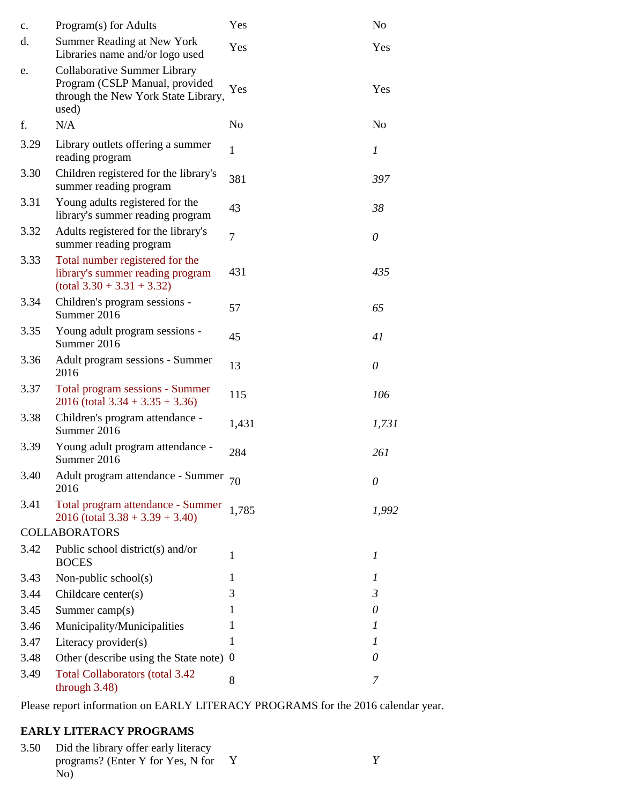| c.   | Program(s) for Adults                                                                                          | Yes            | No             |
|------|----------------------------------------------------------------------------------------------------------------|----------------|----------------|
| d.   | <b>Summer Reading at New York</b><br>Libraries name and/or logo used                                           | Yes            | Yes            |
| e.   | Collaborative Summer Library<br>Program (CSLP Manual, provided<br>through the New York State Library,<br>used) | Yes            | Yes            |
| f.   | N/A                                                                                                            | N <sub>o</sub> | No             |
| 3.29 | Library outlets offering a summer<br>reading program                                                           | $\mathbf{1}$   | 1              |
| 3.30 | Children registered for the library's<br>summer reading program                                                | 381            | 397            |
| 3.31 | Young adults registered for the<br>library's summer reading program                                            | 43             | 38             |
| 3.32 | Adults registered for the library's<br>summer reading program                                                  | 7              | $\theta$       |
| 3.33 | Total number registered for the<br>library's summer reading program<br>$(total 3.30 + 3.31 + 3.32)$            | 431            | 435            |
| 3.34 | Children's program sessions -<br>Summer 2016                                                                   | 57             | 65             |
| 3.35 | Young adult program sessions -<br>Summer 2016                                                                  | 45             | 41             |
| 3.36 | Adult program sessions - Summer<br>2016                                                                        | 13             | $\theta$       |
| 3.37 | Total program sessions - Summer<br>$2016$ (total $3.34 + 3.35 + 3.36$ )                                        | 115            | 106            |
| 3.38 | Children's program attendance -<br>Summer 2016                                                                 | 1,431          | 1,731          |
| 3.39 | Young adult program attendance -<br>Summer 2016                                                                | 284            | 261            |
| 3.40 | Adult program attendance - Summer<br>2016                                                                      | 70             | 0              |
| 3.41 | Total program attendance - Summer<br>$2016$ (total $3.38 + 3.39 + 3.40$ )                                      | 1,785          | 1,992          |
|      | <b>COLLABORATORS</b>                                                                                           |                |                |
| 3.42 | Public school district(s) and/or<br><b>BOCES</b>                                                               | 1              | 1              |
| 3.43 | Non-public school(s)                                                                                           | 1              | 1              |
| 3.44 | Childcare center(s)                                                                                            | 3              | $\mathfrak{Z}$ |
| 3.45 | Summer camp(s)                                                                                                 | 1              | 0              |
| 3.46 | Municipality/Municipalities                                                                                    | 1              | 1              |
| 3.47 | Literacy provider(s)                                                                                           | 1              | 1              |
| 3.48 | Other (describe using the State note) 0                                                                        |                | 0              |
| 3.49 | <b>Total Collaborators (total 3.42)</b><br>through 3.48)                                                       | 8              | 7              |

Please report information on EARLY LITERACY PROGRAMS for the 2016 calendar year.

## **EARLY LITERACY PROGRAMS**

3.50 Did the library offer early literacy Y programs? (Enter Y for Yes, N for *Y*  $\text{No}$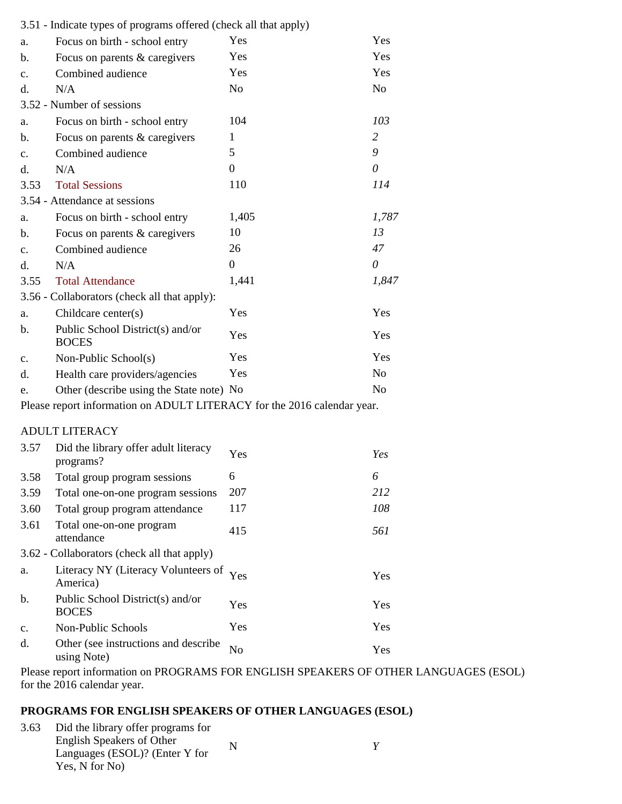|      | 3.51 - Indicate types of programs offered (check all that apply)        |                |                |
|------|-------------------------------------------------------------------------|----------------|----------------|
| a.   | Focus on birth - school entry                                           | Yes            | Yes            |
| b.   | Focus on parents & caregivers                                           | Yes            | Yes            |
| c.   | Combined audience                                                       | Yes            | Yes            |
| d.   | N/A                                                                     | N <sub>o</sub> | N <sub>o</sub> |
|      | 3.52 - Number of sessions                                               |                |                |
| a.   | Focus on birth - school entry                                           | 104            | 103            |
| b.   | Focus on parents & caregivers                                           | 1              | $\overline{2}$ |
| c.   | Combined audience                                                       | 5              | 9              |
| d.   | N/A                                                                     | 0              | $\theta$       |
| 3.53 | <b>Total Sessions</b>                                                   | 110            | 114            |
|      | 3.54 - Attendance at sessions                                           |                |                |
| a.   | Focus on birth - school entry                                           | 1,405          | 1,787          |
| b.   | Focus on parents & caregivers                                           | 10             | 13             |
| c.   | Combined audience                                                       | 26             | 47             |
| d.   | N/A                                                                     | $\Omega$       | $\theta$       |
| 3.55 | <b>Total Attendance</b>                                                 | 1,441          | 1,847          |
|      | 3.56 - Collaborators (check all that apply):                            |                |                |
| a.   | Childcare center(s)                                                     | Yes            | Yes            |
| b.   | Public School District(s) and/or<br><b>BOCES</b>                        | Yes            | Yes            |
| c.   | Non-Public School(s)                                                    | Yes            | Yes            |
| d.   | Health care providers/agencies                                          | Yes            | N <sub>o</sub> |
| e.   | Other (describe using the State note) No                                |                | N <sub>0</sub> |
|      | Please report information on ADULT LITERACY for the 2016 calendar year. |                |                |
|      | <b>ADULT LITERACY</b>                                                   |                |                |
| 3.57 | Did the library offer adult literacy<br>programs?                       | Yes            | Yes            |
| 3.58 | Total group program sessions                                            | 6              | 6              |
| 3.59 | Total one-on-one program sessions                                       | 207            | 212            |
| 3.60 | Total group program attendance                                          | 117            | 108            |
| 3.61 | Total one-on-one program<br>attendance                                  | 415            | 561            |
|      | 3.62 - Collaborators (check all that apply)                             |                |                |
| a.   | Literacy NY (Literacy Volunteers of<br>America)                         | Yes            | Yes            |

|                | America)                                                 |     | .   |
|----------------|----------------------------------------------------------|-----|-----|
| b.             | Public School District(s) and/or<br><b>BOCES</b>         | Yes | Yes |
| $\mathbf{c}$ . | Non-Public Schools                                       | Yes | Yes |
|                | Other (see instructions and describe $N0$<br>using Note) |     | Yes |

Please report information on PROGRAMS FOR ENGLISH SPEAKERS OF OTHER LANGUAGES (ESOL) for the 2016 calendar year.

### **PROGRAMS FOR ENGLISH SPEAKERS OF OTHER LANGUAGES (ESOL)**

| 3.63 | Did the library offer programs for |   |  |
|------|------------------------------------|---|--|
|      | English Speakers of Other          | N |  |
|      | Languages (ESOL)? (Enter Y for     |   |  |
|      | Yes, N for No)                     |   |  |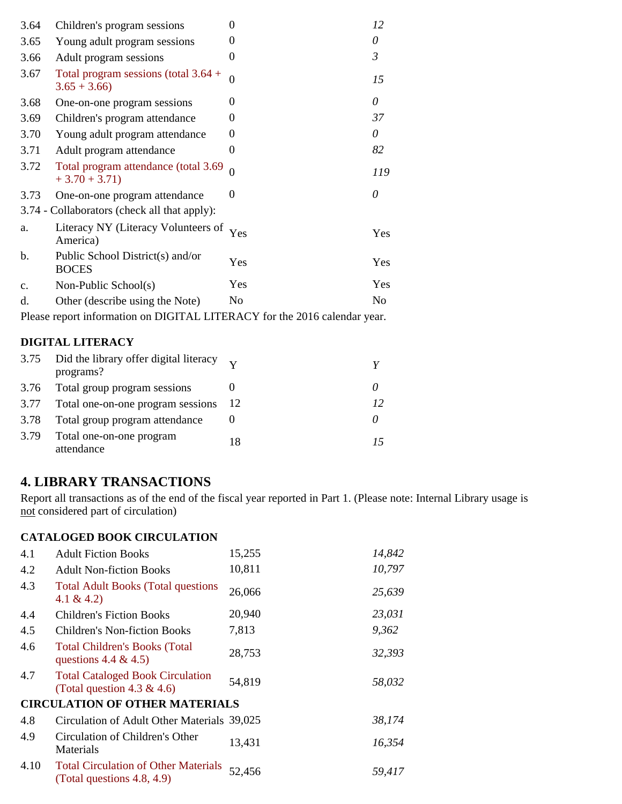| 3.64          | Children's program sessions                             | 0        | 12         |
|---------------|---------------------------------------------------------|----------|------------|
| 3.65          | Young adult program sessions                            | 0        | 0          |
| 3.66          | Adult program sessions                                  | 0        | 3          |
| 3.67          | Total program sessions (total $3.64 +$<br>$3.65 + 3.66$ | 0        | 15         |
| 3.68          | One-on-one program sessions                             | 0        | 0          |
| 3.69          | Children's program attendance                           | 0        | 37         |
| 3.70          | Young adult program attendance                          | 0        | 0          |
| 3.71          | Adult program attendance                                | 0        | 82         |
| 3.72          | Total program attendance (total 3.69<br>$+3.70 + 3.71$  | $\Omega$ | 119        |
| 3.73          | One-on-one program attendance                           | $\theta$ | 0          |
|               | 3.74 - Collaborators (check all that apply):            |          |            |
| a.            | Literacy NY (Literacy Volunteers of<br>America)         | Yes      | Yes        |
| b.            | Public School District(s) and/or<br><b>BOCES</b>        | Yes      | <b>Yes</b> |
| $C_{\bullet}$ | Non-Public School(s)                                    | Yes      | Yes        |
| d.            | Other (describe using the Note)                         | No       | No         |
|               |                                                         |          |            |

Please report information on DIGITAL LITERACY for the 2016 calendar year.

### **DIGITAL LITERACY**

|      | 3.75 Did the library offer digital literacy $\overrightarrow{v}$<br>programs? |     |    |
|------|-------------------------------------------------------------------------------|-----|----|
| 3.76 | Total group program sessions                                                  |     |    |
| 3.77 | Total one-on-one program sessions                                             | -12 | 12 |
| 3.78 | Total group program attendance                                                |     |    |
| 3.79 | Total one-on-one program<br>attendance                                        | 18  |    |

# **4. LIBRARY TRANSACTIONS**

Report all transactions as of the end of the fiscal year reported in Part 1. (Please note: Internal Library usage is not considered part of circulation)

### **CATALOGED BOOK CIRCULATION**

| 4.1  | <b>Adult Fiction Books</b>                                                | 15,255 | 14,842 |
|------|---------------------------------------------------------------------------|--------|--------|
| 4.2  | <b>Adult Non-fiction Books</b>                                            | 10,811 | 10,797 |
| 4.3  | <b>Total Adult Books (Total questions)</b><br>4.1 & 4.2)                  | 26,066 | 25,639 |
| 4.4  | <b>Children's Fiction Books</b>                                           | 20,940 | 23,031 |
| 4.5  | Children's Non-fiction Books                                              | 7,813  | 9,362  |
| 4.6  | <b>Total Children's Books (Total</b><br>questions 4.4 & 4.5)              | 28,753 | 32,393 |
| 4.7  | <b>Total Cataloged Book Circulation</b><br>(Total question 4.3 & 4.6)     | 54,819 | 58,032 |
|      | <b>CIRCULATION OF OTHER MATERIALS</b>                                     |        |        |
| 4.8  | Circulation of Adult Other Materials 39,025                               |        | 38,174 |
| 4.9  | Circulation of Children's Other<br>Materials                              | 13,431 | 16,354 |
| 4.10 | <b>Total Circulation of Other Materials</b><br>(Total questions 4.8, 4.9) | 52,456 | 59,417 |
|      |                                                                           |        |        |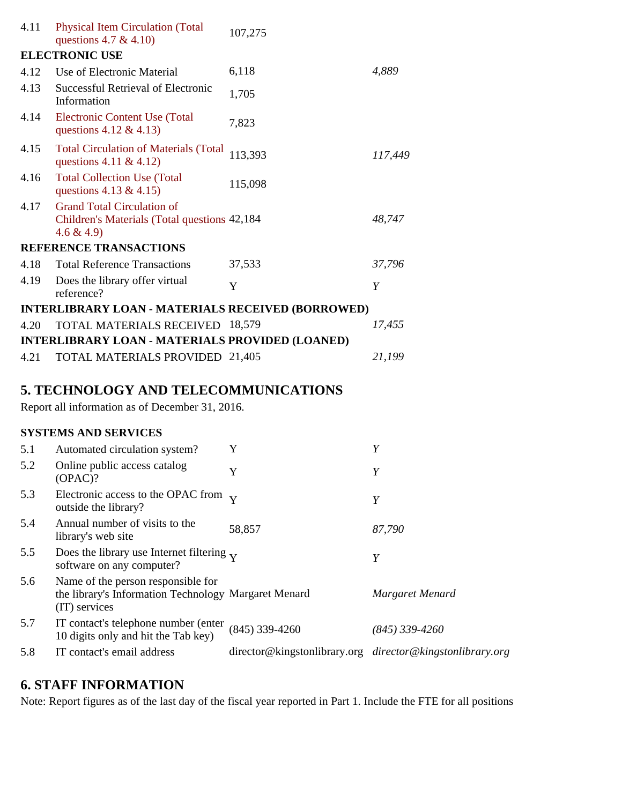| 4.11 | <b>Physical Item Circulation (Total</b><br>questions 4.7 & 4.10)                                   | 107,275 |         |
|------|----------------------------------------------------------------------------------------------------|---------|---------|
|      | <b>ELECTRONIC USE</b>                                                                              |         |         |
| 4.12 | Use of Electronic Material                                                                         | 6,118   | 4,889   |
| 4.13 | Successful Retrieval of Electronic<br>Information                                                  | 1,705   |         |
| 4.14 | Electronic Content Use (Total<br>questions $4.12 \& 4.13$                                          | 7,823   |         |
| 4.15 | <b>Total Circulation of Materials (Total</b><br>questions 4.11 & 4.12)                             | 113,393 | 117,449 |
| 4.16 | <b>Total Collection Use (Total</b><br>questions 4.13 & 4.15)                                       | 115,098 |         |
| 4.17 | <b>Grand Total Circulation of</b><br>Children's Materials (Total questions 42,184)<br>$4.6 \& 4.9$ |         | 48,747  |
|      | <b>REFERENCE TRANSACTIONS</b>                                                                      |         |         |
| 4.18 | <b>Total Reference Transactions</b>                                                                | 37,533  | 37,796  |
| 4.19 | Does the library offer virtual<br>reference?                                                       | Y       | Y       |
|      | <b>INTERLIBRARY LOAN - MATERIALS RECEIVED (BORROWED)</b>                                           |         |         |
| 4.20 | <b>TOTAL MATERIALS RECEIVED 18,579</b>                                                             |         | 17,455  |
|      | <b>INTERLIBRARY LOAN - MATERIALS PROVIDED (LOANED)</b>                                             |         |         |
| 4.21 | <b>TOTAL MATERIALS PROVIDED 21,405</b>                                                             |         | 21,199  |
|      |                                                                                                    |         |         |

## **5. TECHNOLOGY AND TELECOMMUNICATIONS**

Report all information as of December 31, 2016.

### **SYSTEMS AND SERVICES**

| 5.1 | Automated circulation system?                                                                               | Y                | Y                                                         |
|-----|-------------------------------------------------------------------------------------------------------------|------------------|-----------------------------------------------------------|
| 5.2 | Online public access catalog<br>(OPAC)?                                                                     | Y                | Y                                                         |
| 5.3 | Electronic access to the OPAC from $_{\rm V}$<br>outside the library?                                       |                  | Y                                                         |
| 5.4 | Annual number of visits to the<br>library's web site                                                        | 58,857           | 87,790                                                    |
| 5.5 | Does the library use Internet filtering $\bf{v}$<br>software on any computer?                               |                  | Y                                                         |
| 5.6 | Name of the person responsible for<br>the library's Information Technology Margaret Menard<br>(IT) services |                  | Margaret Menard                                           |
| 5.7 | IT contact's telephone number (enter)<br>10 digits only and hit the Tab key)                                | $(845)$ 339-4260 | (845) 339-4260                                            |
| 5.8 | IT contact's email address                                                                                  |                  | director@kingstonlibrary.org director@kingstonlibrary.org |

## **6. STAFF INFORMATION**

Note: Report figures as of the last day of the fiscal year reported in Part 1. Include the FTE for all positions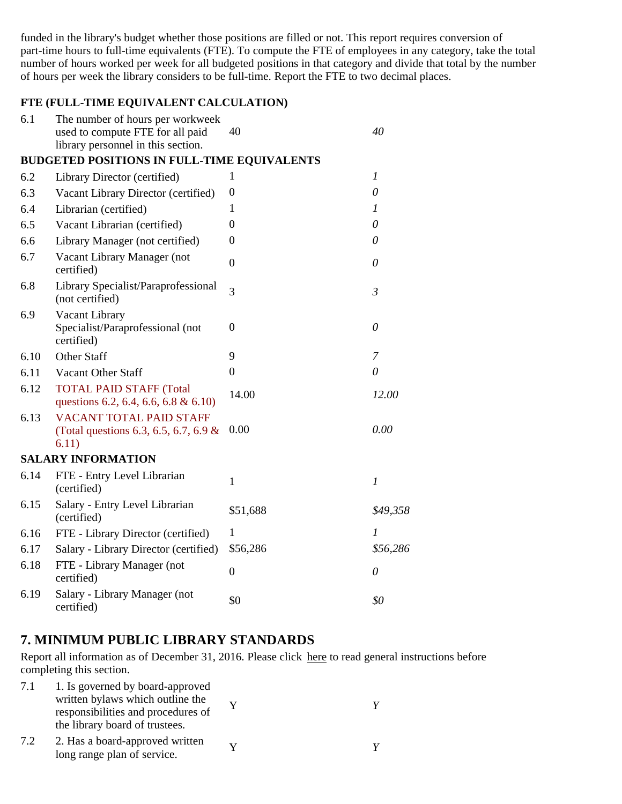funded in the library's budget whether those positions are filled or not. This report requires conversion of part-time hours to full-time equivalents (FTE). To compute the FTE of employees in any category, take the total number of hours worked per week for all budgeted positions in that category and divide that total by the number of hours per week the library considers to be full-time. Report the FTE to two decimal places.

### **FTE (FULL-TIME EQUIVALENT CALCULATION)**

| 6.1  | The number of hours per workweek<br>used to compute FTE for all paid<br>library personnel in this section. | 40               | 40               |
|------|------------------------------------------------------------------------------------------------------------|------------------|------------------|
|      | <b>BUDGETED POSITIONS IN FULL-TIME EQUIVALENTS</b>                                                         |                  |                  |
| 6.2  | Library Director (certified)                                                                               | 1                | $\boldsymbol{l}$ |
| 6.3  | Vacant Library Director (certified)                                                                        | $\boldsymbol{0}$ | $\theta$         |
| 6.4  | Librarian (certified)                                                                                      | 1                | 1                |
| 6.5  | Vacant Librarian (certified)                                                                               | $\overline{0}$   | $\theta$         |
| 6.6  | Library Manager (not certified)                                                                            | $\boldsymbol{0}$ | 0                |
| 6.7  | Vacant Library Manager (not<br>certified)                                                                  | $\boldsymbol{0}$ | $\theta$         |
| 6.8  | Library Specialist/Paraprofessional<br>(not certified)                                                     | $\overline{3}$   | $\mathfrak{Z}$   |
| 6.9  | Vacant Library<br>Specialist/Paraprofessional (not<br>certified)                                           | $\boldsymbol{0}$ | $\theta$         |
| 6.10 | <b>Other Staff</b>                                                                                         | 9                | 7                |
| 6.11 | Vacant Other Staff                                                                                         | $\overline{0}$   | $\theta$         |
| 6.12 | <b>TOTAL PAID STAFF (Total</b><br>questions 6.2, 6.4, 6.6, 6.8 & 6.10)                                     | 14.00            | 12.00            |
| 6.13 | <b>VACANT TOTAL PAID STAFF</b><br>(Total questions 6.3, 6.5, 6.7, 6.9 &<br>6.11)                           | 0.00             | 0.00             |
|      | <b>SALARY INFORMATION</b>                                                                                  |                  |                  |
| 6.14 | FTE - Entry Level Librarian<br>(certified)                                                                 | 1                | $\boldsymbol{l}$ |
| 6.15 | Salary - Entry Level Librarian<br>(certified)                                                              | \$51,688         | \$49,358         |
| 6.16 | FTE - Library Director (certified)                                                                         | 1                | 1                |
| 6.17 | Salary - Library Director (certified)                                                                      | \$56,286         | \$56,286         |
| 6.18 | FTE - Library Manager (not<br>certified)                                                                   | $\boldsymbol{0}$ | $\theta$         |
| 6.19 | Salary - Library Manager (not<br>certified)                                                                | \$0              | \$0              |

### **7. MINIMUM PUBLIC LIBRARY STANDARDS**

Report all information as of December 31, 2016. Please click here to read general instructions before completing this section.

| 7.1 | 1. Is governed by board-approved<br>written bylaws which outline the<br>responsibilities and procedures of<br>the library board of trustees. |  |
|-----|----------------------------------------------------------------------------------------------------------------------------------------------|--|
| 7.2 | 2. Has a board-approved written<br>long range plan of service.                                                                               |  |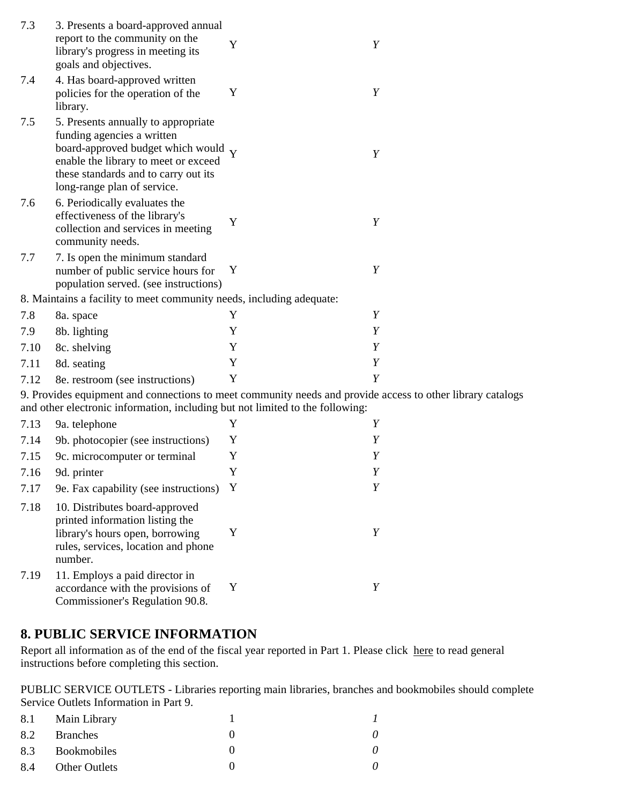| 7.3  | 3. Presents a board-approved annual<br>report to the community on the<br>library's progress in meeting its<br>goals and objectives.                                                                                     | Y           | Y |
|------|-------------------------------------------------------------------------------------------------------------------------------------------------------------------------------------------------------------------------|-------------|---|
| 7.4  | 4. Has board-approved written<br>policies for the operation of the<br>library.                                                                                                                                          | Y           | Y |
| 7.5  | 5. Presents annually to appropriate<br>funding agencies a written<br>board-approved budget which would Y<br>enable the library to meet or exceed<br>these standards and to carry out its<br>long-range plan of service. |             | Y |
| 7.6  | 6. Periodically evaluates the<br>effectiveness of the library's<br>collection and services in meeting<br>community needs.                                                                                               | Y           | Y |
| 7.7  | 7. Is open the minimum standard<br>number of public service hours for<br>population served. (see instructions)                                                                                                          | Y           | Y |
|      | 8. Maintains a facility to meet community needs, including adequate:                                                                                                                                                    |             |   |
| 7.8  | 8a. space                                                                                                                                                                                                               | $\mathbf Y$ | Y |
| 7.9  | 8b. lighting                                                                                                                                                                                                            | Y           | Y |
| 7.10 | 8c. shelving                                                                                                                                                                                                            | Y           | Y |
| 7.11 | 8d. seating                                                                                                                                                                                                             | Y           | Y |
| 7.12 | 8e. restroom (see instructions)                                                                                                                                                                                         | Y           | Y |
|      | 9. Provides equipment and connections to meet community needs and provide access to other library catalogs<br>and other electronic information, including but not limited to the following:                             |             |   |
| 7.13 | 9a. telephone                                                                                                                                                                                                           | Y           | Y |
| 7.14 | 9b. photocopier (see instructions)                                                                                                                                                                                      | Y           | Y |
| 7.15 | 9c. microcomputer or terminal                                                                                                                                                                                           | Y           | Y |
| 7.16 | 9d. printer                                                                                                                                                                                                             | Y           |   |
| 7.17 | 9e. Fax capability (see instructions)                                                                                                                                                                                   | Y           | Y |
| 7.18 | 10. Distributes board-approved<br>printed information listing the<br>library's hours open, borrowing<br>rules, services, location and phone<br>number.                                                                  | Y           | Y |
| 7.19 | 11. Employs a paid director in<br>accordance with the provisions of<br>Commissioner's Regulation 90.8.                                                                                                                  | Y           | Y |

## **8. PUBLIC SERVICE INFORMATION**

Report all information as of the end of the fiscal year reported in Part 1. Please click here to read general instructions before completing this section.

PUBLIC SERVICE OUTLETS - Libraries reporting main libraries, branches and bookmobiles should complete Service Outlets Information in Part 9.

| 8.1 Main Library  |          |
|-------------------|----------|
| 8.2 Branches      | $\theta$ |
| 8.3 Bookmobiles   |          |
| 8.4 Other Outlets |          |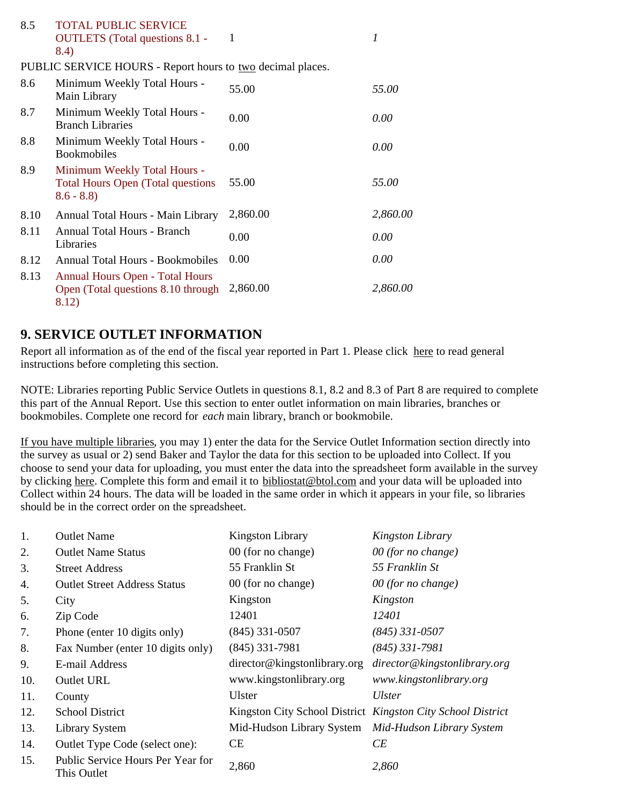| 8.5  | <b>TOTAL PUBLIC SERVICE</b><br><b>OUTLETS</b> (Total questions 8.1 -<br>8.4)             | -1       | 1        |
|------|------------------------------------------------------------------------------------------|----------|----------|
|      | PUBLIC SERVICE HOURS - Report hours to two decimal places.                               |          |          |
| 8.6  | Minimum Weekly Total Hours -<br>Main Library                                             | 55.00    | 55.00    |
| 8.7  | Minimum Weekly Total Hours -<br><b>Branch Libraries</b>                                  | 0.00     | 0.00     |
| 8.8  | Minimum Weekly Total Hours -<br><b>Bookmobiles</b>                                       | 0.00     | 0.00     |
| 8.9  | Minimum Weekly Total Hours -<br><b>Total Hours Open (Total questions)</b><br>$8.6 - 8.8$ | 55.00    | 55.00    |
| 8.10 | Annual Total Hours - Main Library                                                        | 2,860.00 | 2,860.00 |
| 8.11 | Annual Total Hours - Branch<br>Libraries                                                 | 0.00     | 0.00     |
| 8.12 | <b>Annual Total Hours - Bookmobiles</b>                                                  | 0.00     | 0.00     |
| 8.13 | <b>Annual Hours Open - Total Hours</b><br>Open (Total questions 8.10 through<br>8.12)    | 2,860.00 | 2,860.00 |

## **9. SERVICE OUTLET INFORMATION**

Report all information as of the end of the fiscal year reported in Part 1. Please click here to read general instructions before completing this section.

NOTE: Libraries reporting Public Service Outlets in questions 8.1, 8.2 and 8.3 of Part 8 are required to complete this part of the Annual Report. Use this section to enter outlet information on main libraries, branches or bookmobiles. Complete one record for *each* main library, branch or bookmobile.

If you have multiple libraries, you may 1) enter the data for the Service Outlet Information section directly into the survey as usual or 2) send Baker and Taylor the data for this section to be uploaded into Collect. If you choose to send your data for uploading, you must enter the data into the spreadsheet form available in the survey by clicking here. Complete this form and email it to bibliostat@btol.com and your data will be uploaded into Collect within 24 hours. The data will be loaded in the same order in which it appears in your file, so libraries should be in the correct order on the spreadsheet.

| 1.  | <b>Outlet Name</b>                               | <b>Kingston Library</b>                             | Kingston Library                                            |
|-----|--------------------------------------------------|-----------------------------------------------------|-------------------------------------------------------------|
| 2.  | <b>Outlet Name Status</b>                        | 00 (for no change)                                  | 00 (for no change)                                          |
| 3.  | <b>Street Address</b>                            | 55 Franklin St                                      | 55 Franklin St                                              |
| 4.  | <b>Outlet Street Address Status</b>              | 00 (for no change)                                  | 00 (for no change)                                          |
| 5.  | City                                             | Kingston                                            | Kingston                                                    |
| 6.  | Zip Code                                         | 12401                                               | 12401                                                       |
| 7.  | Phone (enter 10 digits only)                     | $(845)$ 331-0507                                    | $(845)$ 331-0507                                            |
| 8.  | Fax Number (enter 10 digits only)                | $(845)$ 331-7981                                    | $(845)$ 331-7981                                            |
| 9.  | E-mail Address                                   | director@kingstonlibrary.org                        | director@kingstonlibrary.org                                |
| 10. | Outlet URL                                       | www.kingstonlibrary.org                             | www.kingstonlibrary.org                                     |
| 11. | County                                           | <b>Ulster</b>                                       | Ulster                                                      |
| 12. | <b>School District</b>                           |                                                     | Kingston City School District Kingston City School District |
| 13. | <b>Library System</b>                            | Mid-Hudson Library System Mid-Hudson Library System |                                                             |
| 14. | Outlet Type Code (select one):                   | <b>CE</b>                                           | CE                                                          |
| 15. | Public Service Hours Per Year for<br>This Outlet | 2,860                                               | 2,860                                                       |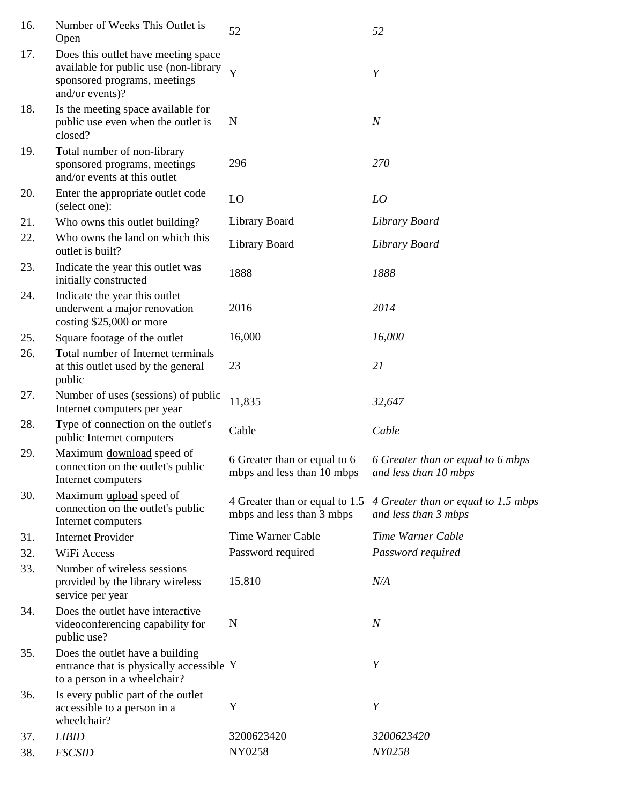| 16. | Number of Weeks This Outlet is<br>Open                                                                                          | 52                                                         | 52                                                                                         |
|-----|---------------------------------------------------------------------------------------------------------------------------------|------------------------------------------------------------|--------------------------------------------------------------------------------------------|
| 17. | Does this outlet have meeting space<br>available for public use (non-library<br>sponsored programs, meetings<br>and/or events)? | Y                                                          | $\boldsymbol{Y}$                                                                           |
| 18. | Is the meeting space available for<br>public use even when the outlet is<br>closed?                                             | N                                                          | $\boldsymbol{N}$                                                                           |
| 19. | Total number of non-library<br>sponsored programs, meetings<br>and/or events at this outlet                                     | 296                                                        | 270                                                                                        |
| 20. | Enter the appropriate outlet code<br>(select one):                                                                              | LO                                                         | LO                                                                                         |
| 21. | Who owns this outlet building?                                                                                                  | Library Board                                              | Library Board                                                                              |
| 22. | Who owns the land on which this<br>outlet is built?                                                                             | Library Board                                              | Library Board                                                                              |
| 23. | Indicate the year this outlet was<br>initially constructed                                                                      | 1888                                                       | 1888                                                                                       |
| 24. | Indicate the year this outlet<br>underwent a major renovation<br>costing $$25,000$ or more                                      | 2016                                                       | 2014                                                                                       |
| 25. | Square footage of the outlet                                                                                                    | 16,000                                                     | 16,000                                                                                     |
| 26. | Total number of Internet terminals<br>at this outlet used by the general<br>public                                              | 23                                                         | 21                                                                                         |
| 27. | Number of uses (sessions) of public<br>Internet computers per year                                                              | 11,835                                                     | 32,647                                                                                     |
| 28. | Type of connection on the outlet's<br>public Internet computers                                                                 | Cable                                                      | Cable                                                                                      |
| 29. | Maximum download speed of<br>connection on the outlet's public<br>Internet computers                                            | 6 Greater than or equal to 6<br>mbps and less than 10 mbps | 6 Greater than or equal to 6 mbps<br>and less than 10 mbps                                 |
| 30. | Maximum upload speed of<br>connection on the outlet's public<br>Internet computers                                              | mbps and less than 3 mbps                                  | 4 Greater than or equal to 1.5 4 Greater than or equal to 1.5 mbps<br>and less than 3 mbps |
| 31. | <b>Internet Provider</b>                                                                                                        | Time Warner Cable                                          | Time Warner Cable                                                                          |
| 32. | WiFi Access                                                                                                                     | Password required                                          | Password required                                                                          |
| 33. | Number of wireless sessions<br>provided by the library wireless<br>service per year                                             | 15,810                                                     | N/A                                                                                        |
| 34. | Does the outlet have interactive<br>videoconferencing capability for<br>public use?                                             | N                                                          | $\boldsymbol{N}$                                                                           |
| 35. | Does the outlet have a building<br>entrance that is physically accessible Y<br>to a person in a wheelchair?                     |                                                            | Y                                                                                          |
| 36. | Is every public part of the outlet<br>accessible to a person in a<br>wheelchair?                                                | Y                                                          | Y                                                                                          |
| 37. | <b>LIBID</b>                                                                                                                    | 3200623420                                                 | 3200623420                                                                                 |
| 38. | <b>FSCSID</b>                                                                                                                   | NY0258                                                     | NY0258                                                                                     |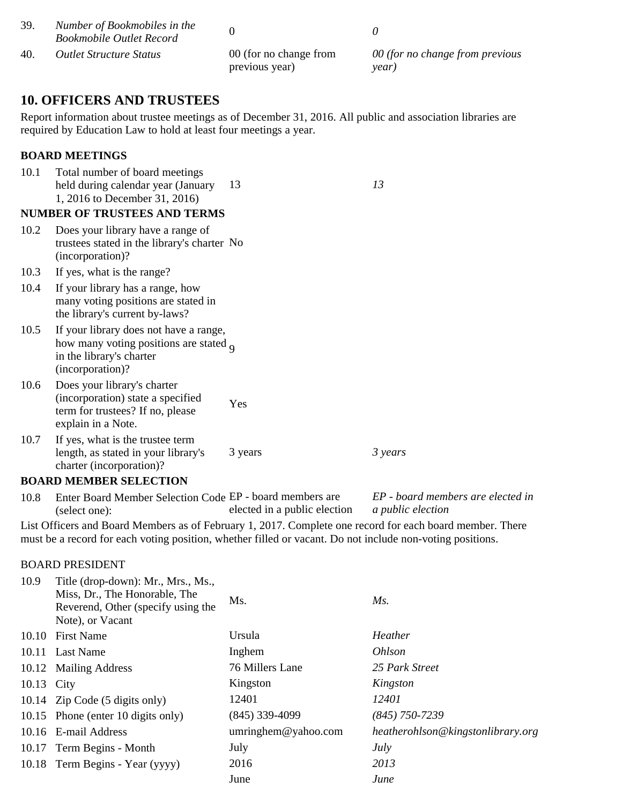| 39. | Number of Bookmobiles in the<br><b>Bookmobile Outlet Record</b> |                                          |                                          |
|-----|-----------------------------------------------------------------|------------------------------------------|------------------------------------------|
| 40. | <i>Outlet Structure Status</i>                                  | 00 (for no change from<br>previous year) | 00 (for no change from previous<br>vear) |

### **10. OFFICERS AND TRUSTEES**

Report information about trustee meetings as of December 31, 2016. All public and association libraries are required by Education Law to hold at least four meetings a year.

### **BOARD MEETINGS**

| 10.1  | Total number of board meetings<br>held during calendar year (January<br>1, 2016 to December 31, 2016)                                                                                                                 | 13                           | 13                                                     |
|-------|-----------------------------------------------------------------------------------------------------------------------------------------------------------------------------------------------------------------------|------------------------------|--------------------------------------------------------|
|       | <b>NUMBER OF TRUSTEES AND TERMS</b>                                                                                                                                                                                   |                              |                                                        |
| 10.2  | Does your library have a range of<br>trustees stated in the library's charter No<br>(incorporation)?                                                                                                                  |                              |                                                        |
| 10.3  | If yes, what is the range?                                                                                                                                                                                            |                              |                                                        |
| 10.4  | If your library has a range, how<br>many voting positions are stated in<br>the library's current by-laws?                                                                                                             |                              |                                                        |
| 10.5  | If your library does not have a range,<br>how many voting positions are stated $_{\text{o}}$<br>in the library's charter<br>(incorporation)?                                                                          |                              |                                                        |
| 10.6  | Does your library's charter<br>(incorporation) state a specified<br>term for trustees? If no, please<br>explain in a Note.                                                                                            | Yes                          |                                                        |
| 10.7  | If yes, what is the trustee term<br>length, as stated in your library's<br>charter (incorporation)?                                                                                                                   | 3 years                      | 3 years                                                |
|       | <b>BOARD MEMBER SELECTION</b>                                                                                                                                                                                         |                              |                                                        |
| 10.8  | Enter Board Member Selection Code EP - board members are<br>(select one):                                                                                                                                             | elected in a public election | EP - board members are elected in<br>a public election |
|       | List Officers and Board Members as of February 1, 2017. Complete one record for each board member. There<br>must be a record for each voting position, whether filled or vacant. Do not include non-voting positions. |                              |                                                        |
|       | <b>BOARD PRESIDENT</b>                                                                                                                                                                                                |                              |                                                        |
| 10.9  | Title (drop-down): Mr., Mrs., Ms.,<br>Miss, Dr., The Honorable, The<br>Reverend, Other (specify using the<br>Note), or Vacant                                                                                         | Ms.                          | $Ms$ .                                                 |
|       | 10.10 First Name                                                                                                                                                                                                      | Ursula                       | Heather                                                |
| 10.11 | <b>Last Name</b>                                                                                                                                                                                                      | Inghem                       | Ohlson                                                 |
|       | 10.12 Mailing Address                                                                                                                                                                                                 | 76 Millers Lane              | 25 Park Street                                         |

10.13 City Kingston *Kingston* 10.14 Zip Code (5 digits only) 12401 *12401*

10.17 Term Begins - Month July *July* 10.18 Term Begins - Year (yyyy) 2016 *2013*

10.15 Phone (enter 10 digits only) (845) 339-4099 *(845) 750-7239*

10.16 E-mail Address umringhem@yahoo.com *heatherohlson@kingstonlibrary.org*

June *June*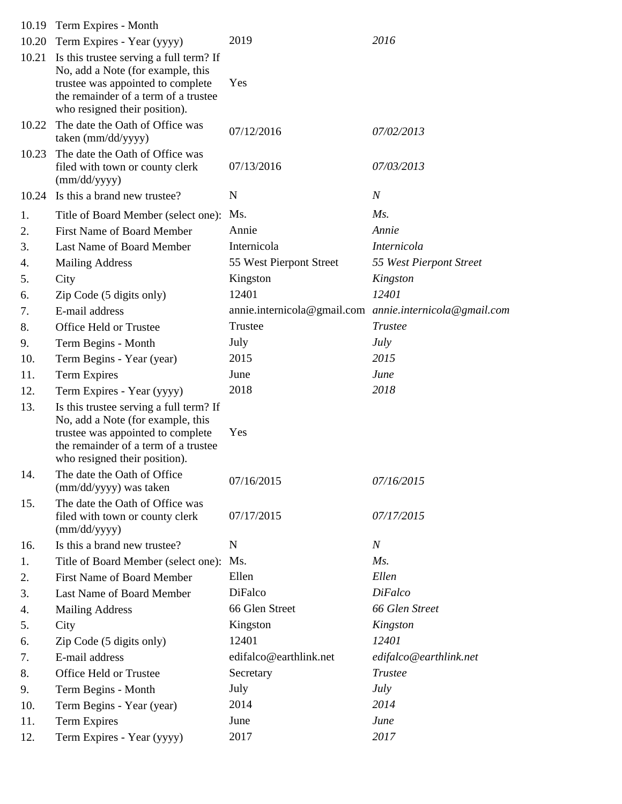|       | 10.19 Term Expires - Month                                                                                                                                                                 |                         |                                                         |
|-------|--------------------------------------------------------------------------------------------------------------------------------------------------------------------------------------------|-------------------------|---------------------------------------------------------|
| 10.20 | Term Expires - Year (yyyy)                                                                                                                                                                 | 2019                    | 2016                                                    |
| 10.21 | Is this trustee serving a full term? If<br>No, add a Note (for example, this<br>trustee was appointed to complete<br>the remainder of a term of a trustee<br>who resigned their position). | Yes                     |                                                         |
| 10.22 | The date the Oath of Office was<br>taken (mm/dd/yyyy)                                                                                                                                      | 07/12/2016              | 07/02/2013                                              |
| 10.23 | The date the Oath of Office was<br>filed with town or county clerk<br>(mm/dd/yyyy)                                                                                                         | 07/13/2016              | 07/03/2013                                              |
|       | 10.24 Is this a brand new trustee?                                                                                                                                                         | N                       | $\boldsymbol{N}$                                        |
| 1.    | Title of Board Member (select one):                                                                                                                                                        | Ms.                     | $Ms$ .                                                  |
| 2.    | <b>First Name of Board Member</b>                                                                                                                                                          | Annie                   | Annie                                                   |
| 3.    | Last Name of Board Member                                                                                                                                                                  | Internicola             | <i>Internicola</i>                                      |
| 4.    | <b>Mailing Address</b>                                                                                                                                                                     | 55 West Pierpont Street | 55 West Pierpont Street                                 |
| 5.    | City                                                                                                                                                                                       | Kingston                | Kingston                                                |
| 6.    | Zip Code (5 digits only)                                                                                                                                                                   | 12401                   | 12401                                                   |
| 7.    | E-mail address                                                                                                                                                                             |                         | annie.internicola@gmail.com annie.internicola@gmail.com |
| 8.    | Office Held or Trustee                                                                                                                                                                     | Trustee                 | <b>Trustee</b>                                          |
| 9.    | Term Begins - Month                                                                                                                                                                        | July                    | July                                                    |
| 10.   | Term Begins - Year (year)                                                                                                                                                                  | 2015                    | 2015                                                    |
| 11.   | <b>Term Expires</b>                                                                                                                                                                        | June                    | June                                                    |
| 12.   | Term Expires - Year (yyyy)                                                                                                                                                                 | 2018                    | 2018                                                    |
| 13.   | Is this trustee serving a full term? If<br>No, add a Note (for example, this<br>trustee was appointed to complete<br>the remainder of a term of a trustee<br>who resigned their position). | Yes                     |                                                         |
| 14.   | The date the Oath of Office<br>(mm/dd/yyyy) was taken                                                                                                                                      | 07/16/2015              | 07/16/2015                                              |
| 15.   | The date the Oath of Office was<br>filed with town or county clerk<br>(mm/dd/yyyy)                                                                                                         | 07/17/2015              | 07/17/2015                                              |
| 16.   | Is this a brand new trustee?                                                                                                                                                               | N                       | $\boldsymbol{N}$                                        |
| 1.    | Title of Board Member (select one):                                                                                                                                                        | Ms.                     | $Ms$ .                                                  |
| 2.    | <b>First Name of Board Member</b>                                                                                                                                                          | Ellen                   | Ellen                                                   |
| 3.    | Last Name of Board Member                                                                                                                                                                  | DiFalco                 | <b>DiFalco</b>                                          |
| 4.    | <b>Mailing Address</b>                                                                                                                                                                     | 66 Glen Street          | 66 Glen Street                                          |
| 5.    | City                                                                                                                                                                                       | Kingston                | Kingston                                                |
| 6.    | Zip Code (5 digits only)                                                                                                                                                                   | 12401                   | 12401                                                   |
| 7.    | E-mail address                                                                                                                                                                             | edifalco@earthlink.net  | edifalco@earthlink.net                                  |
| 8.    | Office Held or Trustee                                                                                                                                                                     | Secretary               | <b>Trustee</b>                                          |
| 9.    | Term Begins - Month                                                                                                                                                                        | July                    | July                                                    |
| 10.   | Term Begins - Year (year)                                                                                                                                                                  | 2014                    | 2014                                                    |
| 11.   | <b>Term Expires</b>                                                                                                                                                                        | June                    | June                                                    |
| 12.   | Term Expires - Year (yyyy)                                                                                                                                                                 | 2017                    | 2017                                                    |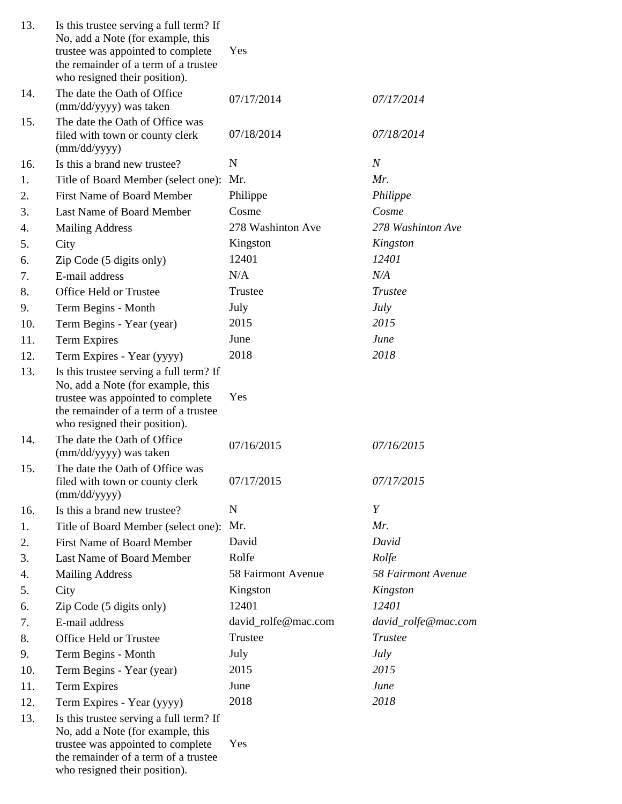| 13. | Is this trustee serving a full term? If<br>No, add a Note (for example, this<br>trustee was appointed to complete<br>the remainder of a term of a trustee<br>who resigned their position). | Yes                 |                     |
|-----|--------------------------------------------------------------------------------------------------------------------------------------------------------------------------------------------|---------------------|---------------------|
| 14. | The date the Oath of Office<br>(mm/dd/yyyy) was taken                                                                                                                                      | 07/17/2014          | 07/17/2014          |
| 15. | The date the Oath of Office was<br>filed with town or county clerk<br>(mm/dd/yyyy)                                                                                                         | 07/18/2014          | 07/18/2014          |
| 16. | Is this a brand new trustee?                                                                                                                                                               | N                   | $\boldsymbol{N}$    |
| 1.  | Title of Board Member (select one):                                                                                                                                                        | Mr.                 | Mr.                 |
| 2.  | <b>First Name of Board Member</b>                                                                                                                                                          | Philippe            | Philippe            |
| 3.  | Last Name of Board Member                                                                                                                                                                  | Cosme               | Cosme               |
| 4.  | <b>Mailing Address</b>                                                                                                                                                                     | 278 Washinton Ave   | 278 Washinton Ave   |
| 5.  | City                                                                                                                                                                                       | Kingston            | Kingston            |
| 6.  | Zip Code (5 digits only)                                                                                                                                                                   | 12401               | 12401               |
| 7.  | E-mail address                                                                                                                                                                             | N/A                 | N/A                 |
| 8.  | Office Held or Trustee                                                                                                                                                                     | Trustee             | Trustee             |
| 9.  | Term Begins - Month                                                                                                                                                                        | July                | <b>July</b>         |
| 10. | Term Begins - Year (year)                                                                                                                                                                  | 2015                | 2015                |
| 11. | <b>Term Expires</b>                                                                                                                                                                        | June                | June                |
| 12. | Term Expires - Year (yyyy)                                                                                                                                                                 | 2018                | 2018                |
| 13. | Is this trustee serving a full term? If<br>No, add a Note (for example, this<br>trustee was appointed to complete<br>the remainder of a term of a trustee<br>who resigned their position). | Yes                 |                     |
| 14. | The date the Oath of Office<br>(mm/dd/yyyy) was taken                                                                                                                                      | 07/16/2015          | 07/16/2015          |
| 15. | The date the Oath of Office was<br>filed with town or county clerk<br>(mm/dd/yyyy)                                                                                                         | 07/17/2015          | 07/17/2015          |
| 16. | Is this a brand new trustee?                                                                                                                                                               | N                   | Y                   |
| 1.  | Title of Board Member (select one):                                                                                                                                                        | Mr.                 | Mr.                 |
| 2.  | First Name of Board Member                                                                                                                                                                 | David               | David               |
| 3.  | Last Name of Board Member                                                                                                                                                                  | Rolfe               | Rolfe               |
| 4.  | <b>Mailing Address</b>                                                                                                                                                                     | 58 Fairmont Avenue  | 58 Fairmont Avenue  |
| 5.  | City                                                                                                                                                                                       | Kingston            | Kingston            |
| 6.  | Zip Code (5 digits only)                                                                                                                                                                   | 12401               | 12401               |
| 7.  | E-mail address                                                                                                                                                                             | david_rolfe@mac.com | david_rolfe@mac.com |
| 8.  | Office Held or Trustee                                                                                                                                                                     | Trustee             | <b>Trustee</b>      |
| 9.  | Term Begins - Month                                                                                                                                                                        | July                | <b>July</b>         |
| 10. | Term Begins - Year (year)                                                                                                                                                                  | 2015                | 2015                |
| 11. | <b>Term Expires</b>                                                                                                                                                                        | June                | June                |
| 12. | Term Expires - Year (yyyy)                                                                                                                                                                 | 2018                | 2018                |
| 13. | Is this trustee serving a full term? If<br>No, add a Note (for example, this<br>trustee was appointed to complete<br>the remainder of a term of a trustee<br>who resigned their position). | Yes                 |                     |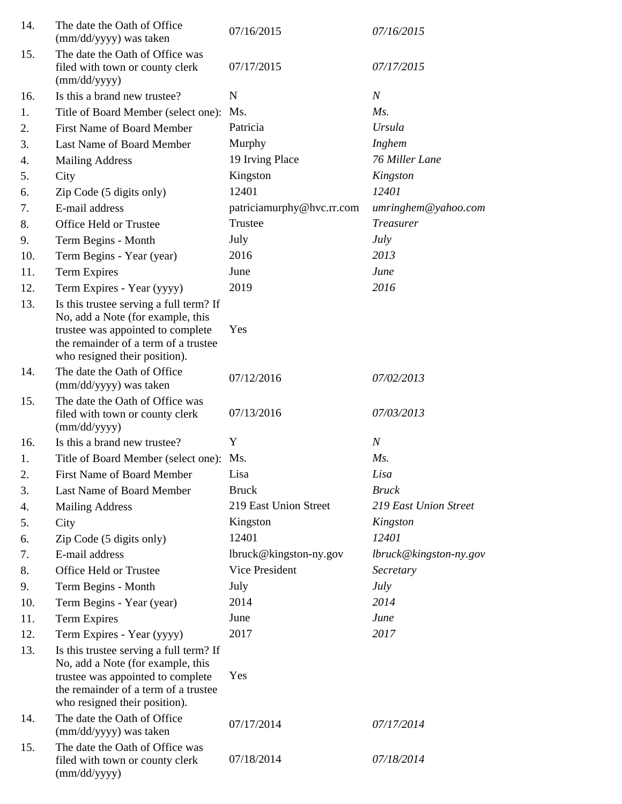| 14. | The date the Oath of Office<br>(mm/dd/yyyy) was taken                                                                                                                                      | 07/16/2015                | 07/16/2015               |
|-----|--------------------------------------------------------------------------------------------------------------------------------------------------------------------------------------------|---------------------------|--------------------------|
| 15. | The date the Oath of Office was<br>filed with town or county clerk<br>(mm/dd/yyyy)                                                                                                         | 07/17/2015                | 07/17/2015               |
| 16. | Is this a brand new trustee?                                                                                                                                                               | N                         | $\boldsymbol{N}$         |
| 1.  | Title of Board Member (select one):                                                                                                                                                        | Ms.                       | Ms.                      |
| 2.  | <b>First Name of Board Member</b>                                                                                                                                                          | Patricia                  | Ursula                   |
| 3.  | Last Name of Board Member                                                                                                                                                                  | Murphy                    | Inghem                   |
| 4.  | <b>Mailing Address</b>                                                                                                                                                                     | 19 Irving Place           | 76 Miller Lane           |
| 5.  | City                                                                                                                                                                                       | Kingston                  | Kingston                 |
| 6.  | Zip Code (5 digits only)                                                                                                                                                                   | 12401                     | 12401                    |
| 7.  | E-mail address                                                                                                                                                                             | patriciamurphy@hvc.rr.com | umringhem@yahoo.com      |
| 8.  | Office Held or Trustee                                                                                                                                                                     | Trustee                   | <b>Treasurer</b>         |
| 9.  | Term Begins - Month                                                                                                                                                                        | July                      | July                     |
| 10. | Term Begins - Year (year)                                                                                                                                                                  | 2016                      | 2013                     |
| 11. | Term Expires                                                                                                                                                                               | June                      | June                     |
| 12. | Term Expires - Year (yyyy)                                                                                                                                                                 | 2019                      | 2016                     |
| 13. | Is this trustee serving a full term? If<br>No, add a Note (for example, this<br>trustee was appointed to complete<br>the remainder of a term of a trustee<br>who resigned their position). | Yes                       |                          |
| 14. | The date the Oath of Office<br>(mm/dd/yyyy) was taken                                                                                                                                      | 07/12/2016                | 07/02/2013               |
| 15. | The date the Oath of Office was<br>filed with town or county clerk<br>(mm/dd/yyyy)                                                                                                         | 07/13/2016                | 07/03/2013               |
| 16. | Is this a brand new trustee?                                                                                                                                                               | Y                         | $\boldsymbol{N}$         |
| 1.  | Title of Board Member (select one): Ms.                                                                                                                                                    |                           | $Ms$ .                   |
| 2.  | First Name of Board Member                                                                                                                                                                 | Lisa                      | Lisa                     |
| 3.  | Last Name of Board Member                                                                                                                                                                  | <b>Bruck</b>              | <b>Bruck</b>             |
| 4.  | <b>Mailing Address</b>                                                                                                                                                                     | 219 East Union Street     | 219 East Union Street    |
| 5.  | City                                                                                                                                                                                       | Kingston                  | Kingston                 |
| 6.  | Zip Code (5 digits only)                                                                                                                                                                   | 12401                     | 12401                    |
| 7.  | E-mail address                                                                                                                                                                             | lbruck@kingston-ny.gov    | $lbruck@kingston-ny.gov$ |
| 8.  | Office Held or Trustee                                                                                                                                                                     | Vice President            | Secretary                |
| 9.  | Term Begins - Month                                                                                                                                                                        | July                      | <i>July</i>              |
| 10. | Term Begins - Year (year)                                                                                                                                                                  | 2014                      | 2014                     |
| 11. | Term Expires                                                                                                                                                                               | June                      | June                     |
| 12. | Term Expires - Year (yyyy)                                                                                                                                                                 | 2017                      | 2017                     |
| 13. | Is this trustee serving a full term? If<br>No, add a Note (for example, this<br>trustee was appointed to complete<br>the remainder of a term of a trustee<br>who resigned their position). | Yes                       |                          |
| 14. | The date the Oath of Office<br>(mm/dd/yyyy) was taken                                                                                                                                      | 07/17/2014                | 07/17/2014               |
| 15. | The date the Oath of Office was<br>filed with town or county clerk<br>(mm/dd/yyyy)                                                                                                         | 07/18/2014                | 07/18/2014               |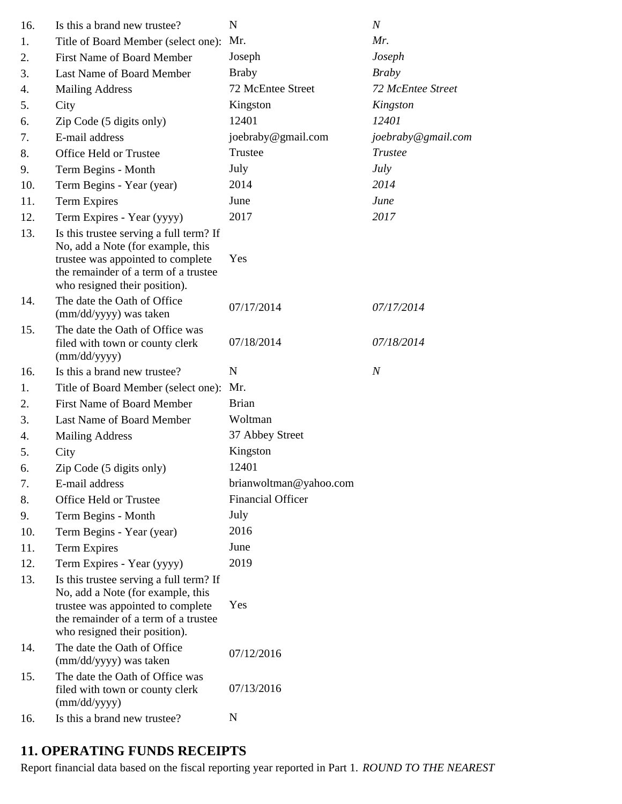| 16. | Is this a brand new trustee?                                                                                                                                                               | N                        | $\boldsymbol{N}$   |
|-----|--------------------------------------------------------------------------------------------------------------------------------------------------------------------------------------------|--------------------------|--------------------|
| 1.  | Title of Board Member (select one):                                                                                                                                                        | Mr.                      | Mr.                |
| 2.  | <b>First Name of Board Member</b>                                                                                                                                                          | Joseph                   | Joseph             |
| 3.  | Last Name of Board Member                                                                                                                                                                  | <b>Braby</b>             | <b>Braby</b>       |
| 4.  | <b>Mailing Address</b>                                                                                                                                                                     | 72 McEntee Street        | 72 McEntee Street  |
| 5.  | City                                                                                                                                                                                       | Kingston                 | Kingston           |
| 6.  | Zip Code (5 digits only)                                                                                                                                                                   | 12401                    | 12401              |
| 7.  | E-mail address                                                                                                                                                                             | joebraby@gmail.com       | joebraby@gmail.com |
| 8.  | Office Held or Trustee                                                                                                                                                                     | Trustee                  | Trustee            |
| 9.  | Term Begins - Month                                                                                                                                                                        | July                     | <b>July</b>        |
| 10. | Term Begins - Year (year)                                                                                                                                                                  | 2014                     | 2014               |
| 11. | Term Expires                                                                                                                                                                               | June                     | June               |
| 12. | Term Expires - Year (yyyy)                                                                                                                                                                 | 2017                     | 2017               |
| 13. | Is this trustee serving a full term? If<br>No, add a Note (for example, this<br>trustee was appointed to complete<br>the remainder of a term of a trustee<br>who resigned their position). | Yes                      |                    |
| 14. | The date the Oath of Office<br>(mm/dd/yyyy) was taken                                                                                                                                      | 07/17/2014               | 07/17/2014         |
| 15. | The date the Oath of Office was<br>filed with town or county clerk<br>(mm/dd/yyyy)                                                                                                         | 07/18/2014               | 07/18/2014         |
| 16. | Is this a brand new trustee?                                                                                                                                                               | $\mathbf N$              | $\boldsymbol{N}$   |
| 1.  | Title of Board Member (select one):                                                                                                                                                        | Mr.                      |                    |
| 2.  | <b>First Name of Board Member</b>                                                                                                                                                          | <b>Brian</b>             |                    |
| 3.  | Last Name of Board Member                                                                                                                                                                  | Woltman                  |                    |
| 4.  | <b>Mailing Address</b>                                                                                                                                                                     | 37 Abbey Street          |                    |
| 5.  | City                                                                                                                                                                                       | Kingston                 |                    |
| 6.  | Zip Code (5 digits only)                                                                                                                                                                   | 12401                    |                    |
| 7.  | E-mail address                                                                                                                                                                             | brianwoltman@yahoo.com   |                    |
| 8.  | Office Held or Trustee                                                                                                                                                                     | <b>Financial Officer</b> |                    |
| 9.  | Term Begins - Month                                                                                                                                                                        | July                     |                    |
| 10. | Term Begins - Year (year)                                                                                                                                                                  | 2016                     |                    |
| 11. | Term Expires                                                                                                                                                                               | June                     |                    |
| 12. | Term Expires - Year (yyyy)                                                                                                                                                                 | 2019                     |                    |
| 13. | Is this trustee serving a full term? If<br>No, add a Note (for example, this<br>trustee was appointed to complete<br>the remainder of a term of a trustee<br>who resigned their position). | Yes                      |                    |
| 14. | The date the Oath of Office<br>(mm/dd/yyyy) was taken                                                                                                                                      | 07/12/2016               |                    |
| 15. | The date the Oath of Office was<br>filed with town or county clerk<br>(mm/dd/yyyy)                                                                                                         | 07/13/2016               |                    |
| 16. | Is this a brand new trustee?                                                                                                                                                               | N                        |                    |

# **11. OPERATING FUNDS RECEIPTS**

Report financial data based on the fiscal reporting year reported in Part 1. *ROUND TO THE NEAREST*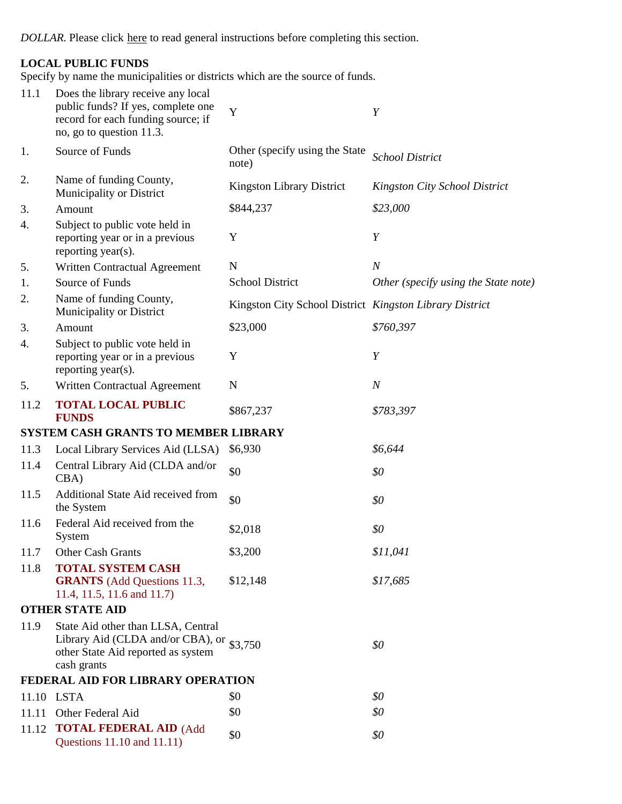*DOLLAR.* Please click here to read general instructions before completing this section.

## **LOCAL PUBLIC FUNDS**

Specify by name the municipalities or districts which are the source of funds.

| 11.1  | Does the library receive any local<br>public funds? If yes, complete one<br>record for each funding source; if<br>no, go to question 11.3. | Y                                                       | Y                                    |
|-------|--------------------------------------------------------------------------------------------------------------------------------------------|---------------------------------------------------------|--------------------------------------|
| 1.    | Source of Funds                                                                                                                            | Other (specify using the State<br>note)                 | <b>School District</b>               |
| 2.    | Name of funding County,<br>Municipality or District                                                                                        | Kingston Library District                               | <b>Kingston City School District</b> |
| 3.    | Amount                                                                                                                                     | \$844,237                                               | \$23,000                             |
| 4.    | Subject to public vote held in<br>reporting year or in a previous<br>reporting year(s).                                                    | Y                                                       | Y                                    |
| 5.    | Written Contractual Agreement                                                                                                              | $\mathbf N$                                             | $\boldsymbol{N}$                     |
| 1.    | Source of Funds                                                                                                                            | <b>School District</b>                                  | Other (specify using the State note) |
| 2.    | Name of funding County,<br>Municipality or District                                                                                        | Kingston City School District Kingston Library District |                                      |
| 3.    | Amount                                                                                                                                     | \$23,000                                                | \$760,397                            |
| 4.    | Subject to public vote held in<br>reporting year or in a previous<br>reporting year(s).                                                    | Y                                                       | Y                                    |
| 5.    | Written Contractual Agreement                                                                                                              | $\mathbf N$                                             | $\boldsymbol{N}$                     |
| 11.2  | <b>TOTAL LOCAL PUBLIC</b><br><b>FUNDS</b>                                                                                                  | \$867,237                                               | \$783,397                            |
|       | SYSTEM CASH GRANTS TO MEMBER LIBRARY                                                                                                       |                                                         |                                      |
| 11.3  | Local Library Services Aid (LLSA)                                                                                                          | \$6,930                                                 | \$6,644                              |
| 11.4  | Central Library Aid (CLDA and/or<br>CBA                                                                                                    | \$0                                                     | \$0                                  |
| 11.5  | Additional State Aid received from<br>the System                                                                                           | \$0                                                     | \$0                                  |
| 11.6  | Federal Aid received from the<br>System                                                                                                    | \$2,018                                                 | \$0                                  |
| 11.7  | <b>Other Cash Grants</b>                                                                                                                   | \$3,200                                                 | \$11,041                             |
| 11.8  | <b>TOTAL SYSTEM CASH</b><br><b>GRANTS</b> (Add Questions 11.3,<br>11.4, 11.5, 11.6 and 11.7)                                               | \$12,148                                                | \$17,685                             |
|       | <b>OTHER STATE AID</b>                                                                                                                     |                                                         |                                      |
| 11.9  | State Aid other than LLSA, Central<br>Library Aid (CLDA and/or CBA), or \$3,750<br>other State Aid reported as system<br>cash grants       |                                                         | \$0                                  |
|       | FEDERAL AID FOR LIBRARY OPERATION                                                                                                          |                                                         |                                      |
|       | 11.10 LSTA                                                                                                                                 | \$0                                                     | \$0                                  |
| 11.11 | Other Federal Aid                                                                                                                          | \$0                                                     | \$0                                  |
| 11.12 | <b>TOTAL FEDERAL AID (Add</b><br>Questions 11.10 and 11.11)                                                                                | \$0                                                     | \$0                                  |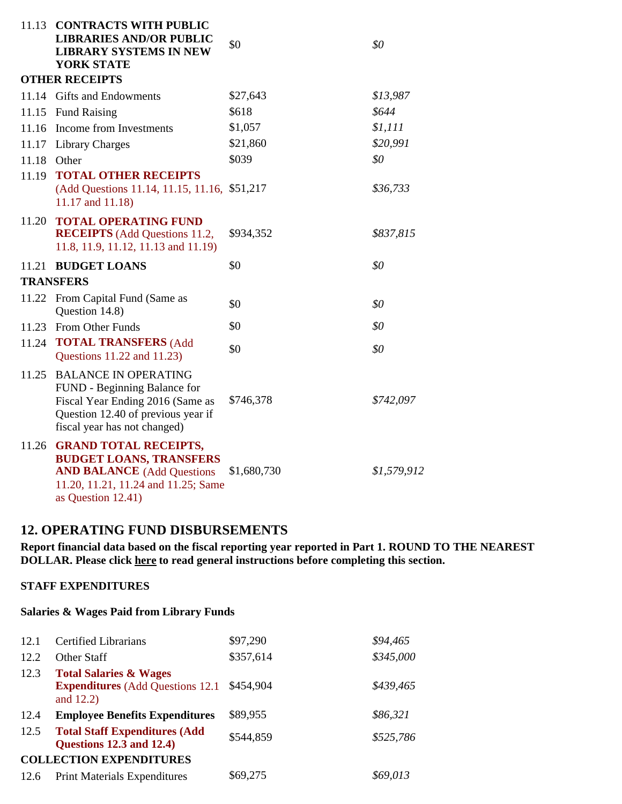| 11.13 | <b>CONTRACTS WITH PUBLIC</b><br><b>LIBRARIES AND/OR PUBLIC</b><br><b>LIBRARY SYSTEMS IN NEW</b><br><b>YORK STATE</b>                                                  | \$0         | \$0         |
|-------|-----------------------------------------------------------------------------------------------------------------------------------------------------------------------|-------------|-------------|
|       | <b>OTHER RECEIPTS</b>                                                                                                                                                 |             |             |
|       | 11.14 Gifts and Endowments                                                                                                                                            | \$27,643    | \$13,987    |
| 11.15 | <b>Fund Raising</b>                                                                                                                                                   | \$618       | \$644       |
| 11.16 | Income from Investments                                                                                                                                               | \$1,057     | \$1,111     |
|       | 11.17 Library Charges                                                                                                                                                 | \$21,860    | \$20,991    |
| 11.18 | Other                                                                                                                                                                 | \$039       | \$0         |
| 11.19 | <b>TOTAL OTHER RECEIPTS</b><br>(Add Questions 11.14, 11.15, 11.16,<br>11.17 and 11.18)                                                                                | \$51,217    | \$36,733    |
| 11.20 | <b>TOTAL OPERATING FUND</b><br><b>RECEIPTS</b> (Add Questions 11.2,<br>11.8, 11.9, 11.12, 11.13 and 11.19)                                                            | \$934,352   | \$837,815   |
| 11.21 | <b>BUDGET LOANS</b>                                                                                                                                                   | \$0         | \$0         |
|       | <b>TRANSFERS</b>                                                                                                                                                      |             |             |
| 11.22 | From Capital Fund (Same as<br>Question 14.8)                                                                                                                          | \$0         | \$0         |
|       | 11.23 From Other Funds                                                                                                                                                | \$0         | \$0         |
|       | 11.24 TOTAL TRANSFERS (Add<br>Questions 11.22 and 11.23)                                                                                                              | \$0         | \$0         |
| 11.25 | <b>BALANCE IN OPERATING</b><br>FUND - Beginning Balance for<br>Fiscal Year Ending 2016 (Same as<br>Question 12.40 of previous year if<br>fiscal year has not changed) | \$746,378   | \$742,097   |
|       | 11.26 GRAND TOTAL RECEIPTS,<br><b>BUDGET LOANS, TRANSFERS</b><br><b>AND BALANCE</b> (Add Questions<br>11.20, 11.21, 11.24 and 11.25; Same<br>as Question 12.41)       | \$1,680,730 | \$1,579,912 |

## **12. OPERATING FUND DISBURSEMENTS**

**Report financial data based on the fiscal reporting year reported in Part 1. ROUND TO THE NEAREST DOLLAR. Please click here to read general instructions before completing this section.**

### **STAFF EXPENDITURES**

### **Salaries & Wages Paid from Library Funds**

| 12.1 | <b>Certified Librarians</b>                                                                   | \$97,290  | \$94,465  |
|------|-----------------------------------------------------------------------------------------------|-----------|-----------|
| 12.2 | <b>Other Staff</b>                                                                            | \$357,614 | \$345,000 |
| 12.3 | <b>Total Salaries &amp; Wages</b><br><b>Expenditures</b> (Add Questions 12.1)<br>and $12.2$ ) | \$454,904 | \$439,465 |
| 12.4 | <b>Employee Benefits Expenditures</b>                                                         | \$89,955  | \$86,321  |
| 12.5 | <b>Total Staff Expenditures (Add</b><br><b>Questions 12.3 and 12.4)</b>                       | \$544,859 | \$525,786 |
|      | <b>COLLECTION EXPENDITURES</b>                                                                |           |           |
| 12.6 | <b>Print Materials Expenditures</b>                                                           | \$69,275  | \$69,013  |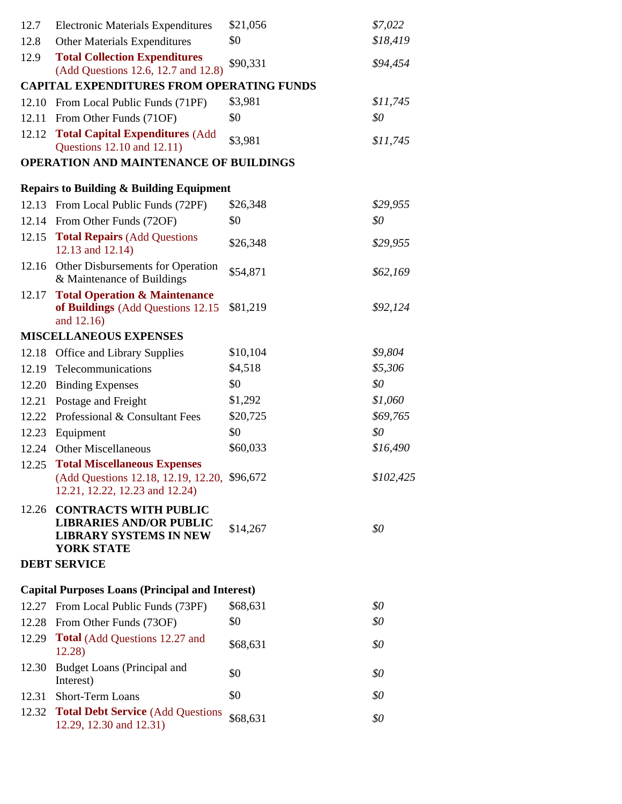| 12.7  | <b>Electronic Materials Expenditures</b>                                                                               | \$21,056 | \$7,022   |
|-------|------------------------------------------------------------------------------------------------------------------------|----------|-----------|
| 12.8  | <b>Other Materials Expenditures</b>                                                                                    | \$0      | \$18,419  |
| 12.9  | <b>Total Collection Expenditures</b><br>(Add Questions 12.6, 12.7 and 12.8)                                            | \$90,331 | \$94,454  |
|       | <b>CAPITAL EXPENDITURES FROM OPERATING FUNDS</b>                                                                       |          |           |
| 12.10 | From Local Public Funds (71PF)                                                                                         | \$3,981  | \$11,745  |
| 12.11 | From Other Funds (71OF)                                                                                                | \$0      | \$0       |
| 12.12 | <b>Total Capital Expenditures (Add</b>                                                                                 | \$3,981  | \$11,745  |
|       | Questions 12.10 and 12.11)                                                                                             |          |           |
|       | <b>OPERATION AND MAINTENANCE OF BUILDINGS</b>                                                                          |          |           |
|       | <b>Repairs to Building &amp; Building Equipment</b>                                                                    |          |           |
|       | 12.13 From Local Public Funds (72PF)                                                                                   | \$26,348 | \$29,955  |
|       | 12.14 From Other Funds (72OF)                                                                                          | \$0      | \$0       |
| 12.15 | <b>Total Repairs (Add Questions)</b><br>12.13 and 12.14)                                                               | \$26,348 | \$29,955  |
| 12.16 | Other Disbursements for Operation<br>& Maintenance of Buildings                                                        | \$54,871 | \$62,169  |
| 12.17 | <b>Total Operation &amp; Maintenance</b><br>of Buildings (Add Questions 12.15<br>and 12.16)                            | \$81,219 | \$92,124  |
|       | <b>MISCELLANEOUS EXPENSES</b>                                                                                          |          |           |
| 12.18 | <b>Office and Library Supplies</b>                                                                                     | \$10,104 | \$9,804   |
|       | 12.19 Telecommunications                                                                                               | \$4,518  | \$5,306   |
| 12.20 | <b>Binding Expenses</b>                                                                                                | \$0      | \$0       |
| 12.21 | Postage and Freight                                                                                                    | \$1,292  | \$1,060   |
| 12.22 | Professional & Consultant Fees                                                                                         | \$20,725 | \$69,765  |
| 12.23 | Equipment                                                                                                              | \$0      | \$0       |
| 12.24 | Other Miscellaneous                                                                                                    | \$60,033 | \$16,490  |
| 12.25 | <b>Total Miscellaneous Expenses</b><br>(Add Questions 12.18, 12.19, 12.20, \$96,672)<br>12.21, 12.22, 12.23 and 12.24) |          | \$102,425 |
|       | 12.26 CONTRACTS WITH PUBLIC<br><b>LIBRARIES AND/OR PUBLIC</b><br><b>LIBRARY SYSTEMS IN NEW</b><br><b>YORK STATE</b>    | \$14,267 | \$0       |
|       | <b>DEBT SERVICE</b>                                                                                                    |          |           |
|       | <b>Capital Purposes Loans (Principal and Interest)</b>                                                                 |          |           |
|       | 12.27 From Local Public Funds (73PF)                                                                                   | \$68,631 | \$0       |
| 12.28 | From Other Funds (73OF)                                                                                                | \$0      | \$0       |
| 12.29 | <b>Total</b> (Add Questions 12.27 and<br>12.28)                                                                        | \$68,631 | \$0       |
| 12.30 | <b>Budget Loans (Principal and</b><br>Interest)                                                                        | \$0      | \$0       |
| 12.31 | Short-Term Loans                                                                                                       | \$0      | \$0       |
| 12.32 | <b>Total Debt Service (Add Questions)</b><br>12.29, 12.30 and 12.31)                                                   | \$68,631 | \$0       |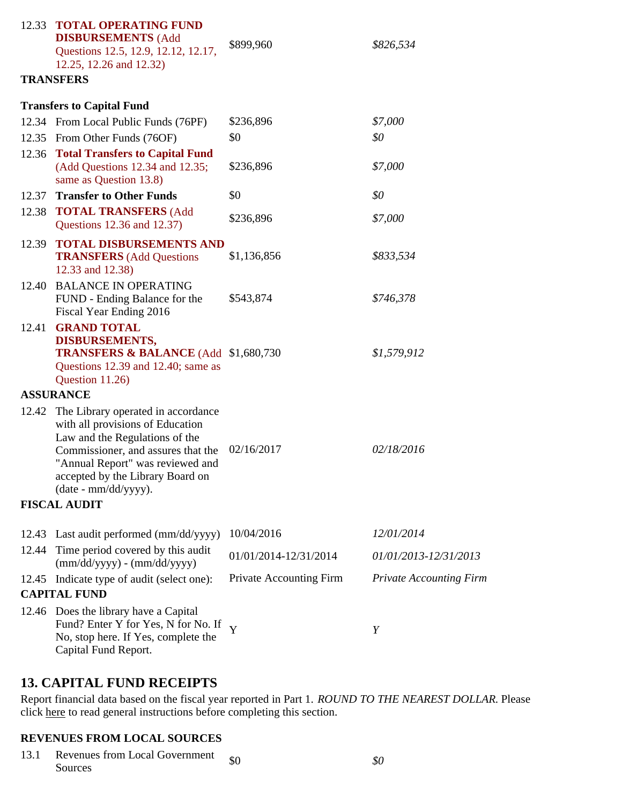|       | <b>12.33 TOTAL OPERATING FUND</b><br><b>DISBURSEMENTS (Add</b><br>Questions 12.5, 12.9, 12.12, 12.17,<br>12.25, 12.26 and 12.32)                                                                                                               | \$899,960                      | \$826,534                      |
|-------|------------------------------------------------------------------------------------------------------------------------------------------------------------------------------------------------------------------------------------------------|--------------------------------|--------------------------------|
|       | <b>TRANSFERS</b>                                                                                                                                                                                                                               |                                |                                |
|       | <b>Transfers to Capital Fund</b>                                                                                                                                                                                                               |                                |                                |
|       | 12.34 From Local Public Funds (76PF)                                                                                                                                                                                                           | \$236,896                      | \$7,000                        |
|       | 12.35 From Other Funds (76OF)                                                                                                                                                                                                                  | \$0                            | \$0                            |
|       | 12.36 Total Transfers to Capital Fund<br>(Add Questions 12.34 and 12.35;<br>same as Question 13.8)                                                                                                                                             | \$236,896                      | \$7,000                        |
|       | 12.37 Transfer to Other Funds                                                                                                                                                                                                                  | \$0                            | \$0                            |
|       | 12.38 TOTAL TRANSFERS (Add<br>Questions 12.36 and 12.37)                                                                                                                                                                                       | \$236,896                      | \$7,000                        |
| 12.39 | <b>TOTAL DISBURSEMENTS AND</b><br><b>TRANSFERS</b> (Add Questions<br>12.33 and 12.38)                                                                                                                                                          | \$1,136,856                    | \$833,534                      |
| 12.40 | <b>BALANCE IN OPERATING</b><br>FUND - Ending Balance for the<br>Fiscal Year Ending 2016                                                                                                                                                        | \$543,874                      | \$746,378                      |
| 12.41 | <b>GRAND TOTAL</b><br><b>DISBURSEMENTS,</b><br><b>TRANSFERS &amp; BALANCE</b> (Add \$1,680,730)<br>Questions 12.39 and 12.40; same as<br>Question 11.26)                                                                                       |                                | \$1,579,912                    |
|       | <b>ASSURANCE</b>                                                                                                                                                                                                                               |                                |                                |
| 12.42 | The Library operated in accordance<br>with all provisions of Education<br>Law and the Regulations of the<br>Commissioner, and assures that the<br>"Annual Report" was reviewed and<br>accepted by the Library Board on<br>(date - mm/dd/yyyy). | 02/16/2017                     | 02/18/2016                     |
|       | <b>FISCAL AUDIT</b>                                                                                                                                                                                                                            |                                |                                |
| 12.43 | Last audit performed (mm/dd/yyyy)                                                                                                                                                                                                              | 10/04/2016                     | 12/01/2014                     |
| 12.44 | Time period covered by this audit<br>$(mm/dd/yyyy) - (mm/dd/yyyy)$                                                                                                                                                                             | 01/01/2014-12/31/2014          | 01/01/2013-12/31/2013          |
| 12.45 | Indicate type of audit (select one):                                                                                                                                                                                                           | <b>Private Accounting Firm</b> | <b>Private Accounting Firm</b> |
|       | <b>CAPITAL FUND</b>                                                                                                                                                                                                                            |                                |                                |
|       | 12.46 Does the library have a Capital<br>Fund? Enter Y for Yes, N for No. If<br>No, stop here. If Yes, complete the<br>Capital Fund Report.                                                                                                    | Y                              | Y                              |

## **13. CAPITAL FUND RECEIPTS**

Report financial data based on the fiscal year reported in Part 1. *ROUND TO THE NEAREST DOLLAR.* Please click here to read general instructions before completing this section.

### **REVENUES FROM LOCAL SOURCES**

13.1 Revenues from Local Government  $\int_{0}$  \$0 *\$0*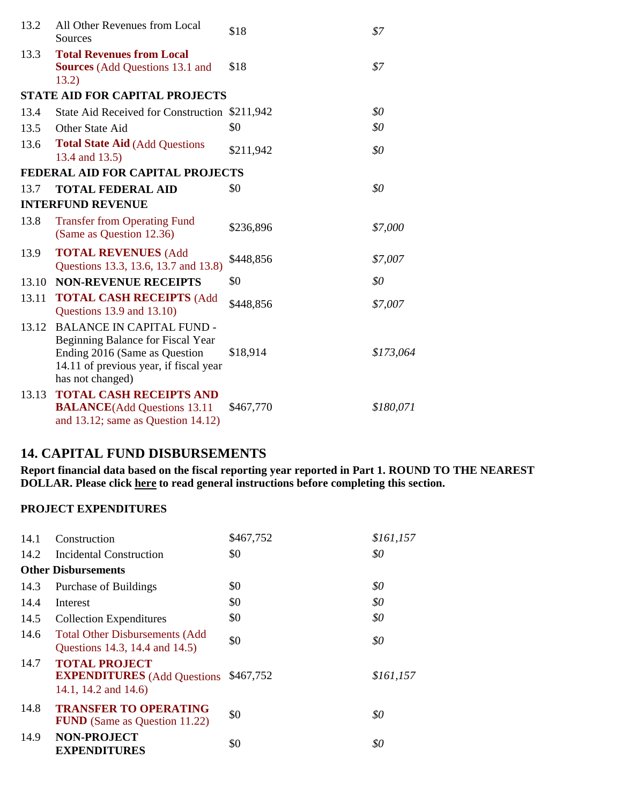| 13.2  | All Other Revenues from Local<br>Sources                                                                                                                             | \$18      | \$7       |
|-------|----------------------------------------------------------------------------------------------------------------------------------------------------------------------|-----------|-----------|
| 13.3  | <b>Total Revenues from Local</b><br><b>Sources</b> (Add Questions 13.1 and<br>13.2)                                                                                  | \$18      | \$7       |
|       | <b>STATE AID FOR CAPITAL PROJECTS</b>                                                                                                                                |           |           |
| 13.4  | State Aid Received for Construction \$211,942                                                                                                                        |           | \$0       |
| 13.5  | Other State Aid                                                                                                                                                      | \$0       | \$0       |
| 13.6  | <b>Total State Aid (Add Questions</b><br>13.4 and 13.5)                                                                                                              | \$211,942 | \$0       |
|       | FEDERAL AID FOR CAPITAL PROJECTS                                                                                                                                     |           |           |
| 13.7  | <b>TOTAL FEDERAL AID</b>                                                                                                                                             | \$0       | \$0       |
|       | <b>INTERFUND REVENUE</b>                                                                                                                                             |           |           |
| 13.8  | <b>Transfer from Operating Fund</b><br>(Same as Question 12.36)                                                                                                      | \$236,896 | \$7,000   |
| 13.9  | <b>TOTAL REVENUES (Add</b><br>Questions 13.3, 13.6, 13.7 and 13.8)                                                                                                   | \$448,856 | \$7,007   |
| 13.10 | <b>NON-REVENUE RECEIPTS</b>                                                                                                                                          | \$0       | \$0       |
| 13.11 | <b>TOTAL CASH RECEIPTS (Add</b><br>Questions 13.9 and 13.10)                                                                                                         | \$448,856 | \$7,007   |
| 13.12 | <b>BALANCE IN CAPITAL FUND -</b><br>Beginning Balance for Fiscal Year<br>Ending 2016 (Same as Question<br>14.11 of previous year, if fiscal year<br>has not changed) | \$18,914  | \$173,064 |
| 13.13 | <b>TOTAL CASH RECEIPTS AND</b><br><b>BALANCE</b> (Add Questions 13.11)<br>and $13.12$ ; same as Question $14.12$ )                                                   | \$467,770 | \$180,071 |

## **14. CAPITAL FUND DISBURSEMENTS**

**Report financial data based on the fiscal reporting year reported in Part 1. ROUND TO THE NEAREST DOLLAR. Please click here to read general instructions before completing this section.**

### **PROJECT EXPENDITURES**

| 14.1 | Construction                                                                                  | \$467,752 | \$161,157 |
|------|-----------------------------------------------------------------------------------------------|-----------|-----------|
| 14.2 | Incidental Construction                                                                       | \$0       | \$0       |
|      | <b>Other Disbursements</b>                                                                    |           |           |
| 14.3 | Purchase of Buildings                                                                         | \$0       | \$0       |
| 14.4 | Interest                                                                                      | \$0       | \$0       |
| 14.5 | <b>Collection Expenditures</b>                                                                | \$0       | \$0       |
| 14.6 | <b>Total Other Disbursements (Add</b><br>Questions 14.3, 14.4 and 14.5)                       | \$0       | \$0       |
| 14.7 | <b>TOTAL PROJECT</b><br><b>EXPENDITURES</b> (Add Questions \$467,752)<br>14.1, 14.2 and 14.6) |           | \$161,157 |
| 14.8 | <b>TRANSFER TO OPERATING</b><br><b>FUND</b> (Same as Question 11.22)                          | \$0       | \$0       |
| 14.9 | <b>NON-PROJECT</b><br><b>EXPENDITURES</b>                                                     | \$0       | \$0       |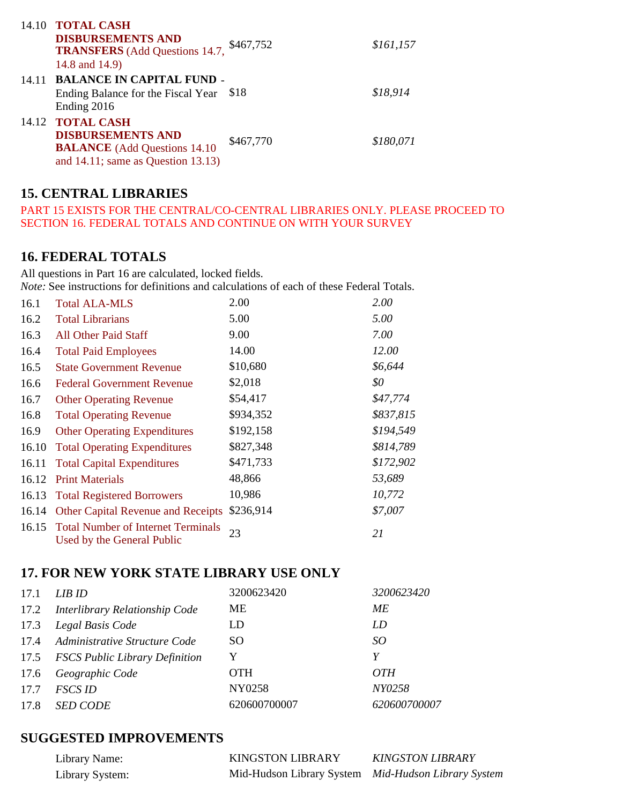|       | 14.10 TOTAL CASH                                        |           |           |
|-------|---------------------------------------------------------|-----------|-----------|
|       | <b>DISBURSEMENTS AND</b>                                | \$467,752 | \$161,157 |
|       | <b>TRANSFERS</b> (Add Questions 14.7,<br>14.8 and 14.9) |           |           |
| 14.11 | <b>BALANCE IN CAPITAL FUND -</b>                        |           |           |
|       | Ending Balance for the Fiscal Year \$18                 |           | \$18,914  |
|       | Ending 2016                                             |           |           |
|       | 14.12 TOTAL CASH                                        |           |           |
|       | <b>DISBURSEMENTS AND</b>                                | \$467,770 | \$180,071 |
|       | <b>BALANCE</b> (Add Questions 14.10)                    |           |           |
|       | and $14.11$ ; same as Question $13.13$ )                |           |           |

# **15. CENTRAL LIBRARIES**

PART 15 EXISTS FOR THE CENTRAL/CO-CENTRAL LIBRARIES ONLY. PLEASE PROCEED TO SECTION 16. FEDERAL TOTALS AND CONTINUE ON WITH YOUR SURVEY

## **16. FEDERAL TOTALS**

All questions in Part 16 are calculated, locked fields. *Note:* See instructions for definitions and calculations of each of these Federal Totals.

| 16.1  | <b>Total ALA-MLS</b>                                                   | 2.00      | 2.00      |
|-------|------------------------------------------------------------------------|-----------|-----------|
| 16.2  | <b>Total Librarians</b>                                                | 5.00      | 5.00      |
| 16.3  | <b>All Other Paid Staff</b>                                            | 9.00      | 7.00      |
| 16.4  | <b>Total Paid Employees</b>                                            | 14.00     | 12.00     |
| 16.5  | <b>State Government Revenue</b>                                        | \$10,680  | \$6,644   |
| 16.6  | <b>Federal Government Revenue</b>                                      | \$2,018   | \$0       |
| 16.7  | <b>Other Operating Revenue</b>                                         | \$54,417  | \$47,774  |
| 16.8  | <b>Total Operating Revenue</b>                                         | \$934,352 | \$837,815 |
| 16.9  | <b>Other Operating Expenditures</b>                                    | \$192,158 | \$194,549 |
| 16.10 | <b>Total Operating Expenditures</b>                                    | \$827,348 | \$814,789 |
| 16.11 | <b>Total Capital Expenditures</b>                                      | \$471,733 | \$172,902 |
| 16.12 | <b>Print Materials</b>                                                 | 48,866    | 53,689    |
| 16.13 | <b>Total Registered Borrowers</b>                                      | 10,986    | 10,772    |
|       | 16.14 Other Capital Revenue and Receipts                               | \$236,914 | \$7,007   |
|       | 16.15 Total Number of Internet Terminals<br>Used by the General Public | 23        | 21        |

## **17. FOR NEW YORK STATE LIBRARY USE ONLY**

| 17.1 | LIB ID                              | 3200623420    | 3200623420   |
|------|-------------------------------------|---------------|--------------|
|      | 17.2 Interlibrary Relationship Code | <b>ME</b>     | МE           |
| 17.3 | Legal Basis Code                    | LD            | LD           |
| 17.4 | Administrative Structure Code       | <sub>SO</sub> | SO           |
|      | 17.5 FSCS Public Library Definition | Y             | Y            |
| 17.6 | Geographic Code                     | <b>OTH</b>    | <i>OTH</i>   |
| 17.7 | <b>FSCS ID</b>                      | NY0258        | NY0258       |
| 17.8 | <b>SED CODE</b>                     | 620600700007  | 620600700007 |

## **SUGGESTED IMPROVEMENTS**

| Library Name:   | <b>KINGSTON LIBRARY</b>                             | <b>KINGSTON LIBRARY</b> |
|-----------------|-----------------------------------------------------|-------------------------|
| Library System: | Mid-Hudson Library System Mid-Hudson Library System |                         |